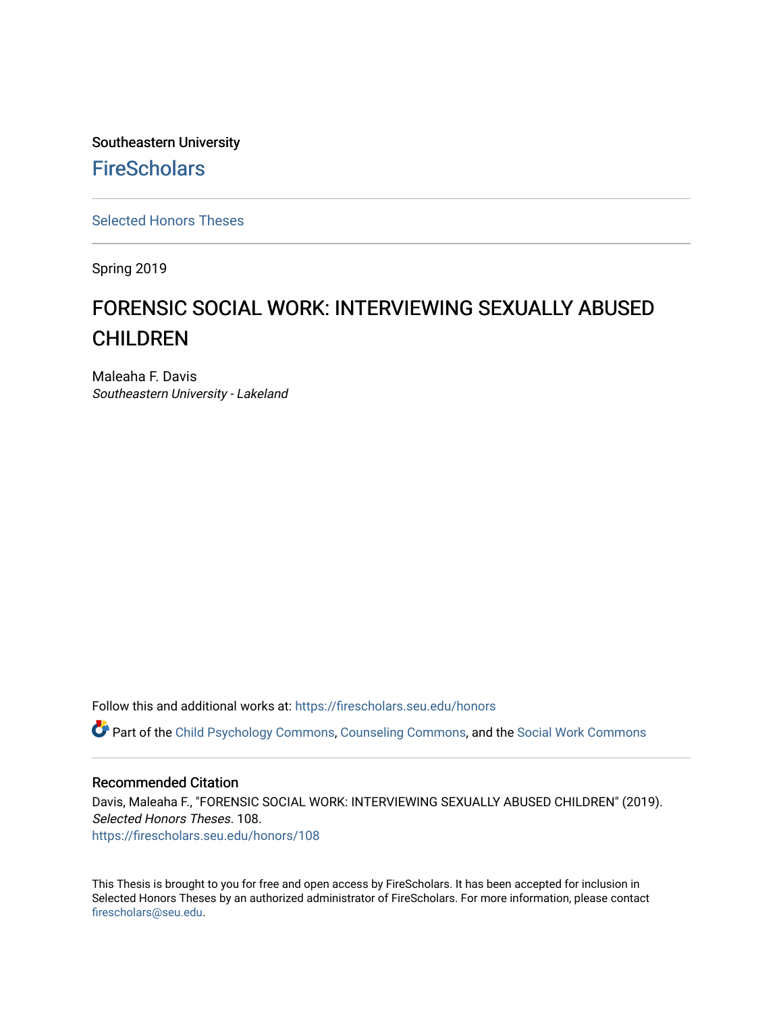Southeastern University **FireScholars** 

[Selected Honors Theses](https://firescholars.seu.edu/honors)

Spring 2019

# FORENSIC SOCIAL WORK: INTERVIEWING SEXUALLY ABUSED CHILDREN

Maleaha F. Davis Southeastern University - Lakeland

Follow this and additional works at: [https://firescholars.seu.edu/honors](https://firescholars.seu.edu/honors?utm_source=firescholars.seu.edu%2Fhonors%2F108&utm_medium=PDF&utm_campaign=PDFCoverPages)

Part of the [Child Psychology Commons,](http://network.bepress.com/hgg/discipline/1023?utm_source=firescholars.seu.edu%2Fhonors%2F108&utm_medium=PDF&utm_campaign=PDFCoverPages) [Counseling Commons,](http://network.bepress.com/hgg/discipline/1268?utm_source=firescholars.seu.edu%2Fhonors%2F108&utm_medium=PDF&utm_campaign=PDFCoverPages) and the [Social Work Commons](http://network.bepress.com/hgg/discipline/713?utm_source=firescholars.seu.edu%2Fhonors%2F108&utm_medium=PDF&utm_campaign=PDFCoverPages) 

#### Recommended Citation

Davis, Maleaha F., "FORENSIC SOCIAL WORK: INTERVIEWING SEXUALLY ABUSED CHILDREN" (2019). Selected Honors Theses. 108. [https://firescholars.seu.edu/honors/108](https://firescholars.seu.edu/honors/108?utm_source=firescholars.seu.edu%2Fhonors%2F108&utm_medium=PDF&utm_campaign=PDFCoverPages)

This Thesis is brought to you for free and open access by FireScholars. It has been accepted for inclusion in Selected Honors Theses by an authorized administrator of FireScholars. For more information, please contact [firescholars@seu.edu.](mailto:firescholars@seu.edu)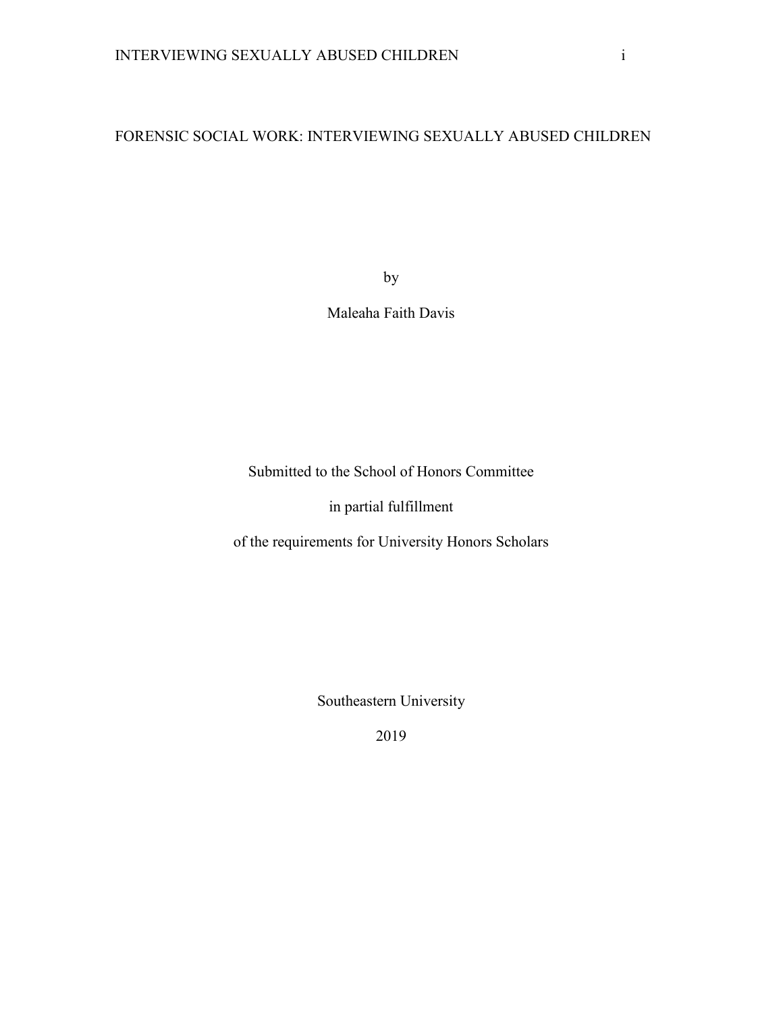# FORENSIC SOCIAL WORK: INTERVIEWING SEXUALLY ABUSED CHILDREN

by

Maleaha Faith Davis

Submitted to the School of Honors Committee

in partial fulfillment

of the requirements for University Honors Scholars

Southeastern University

2019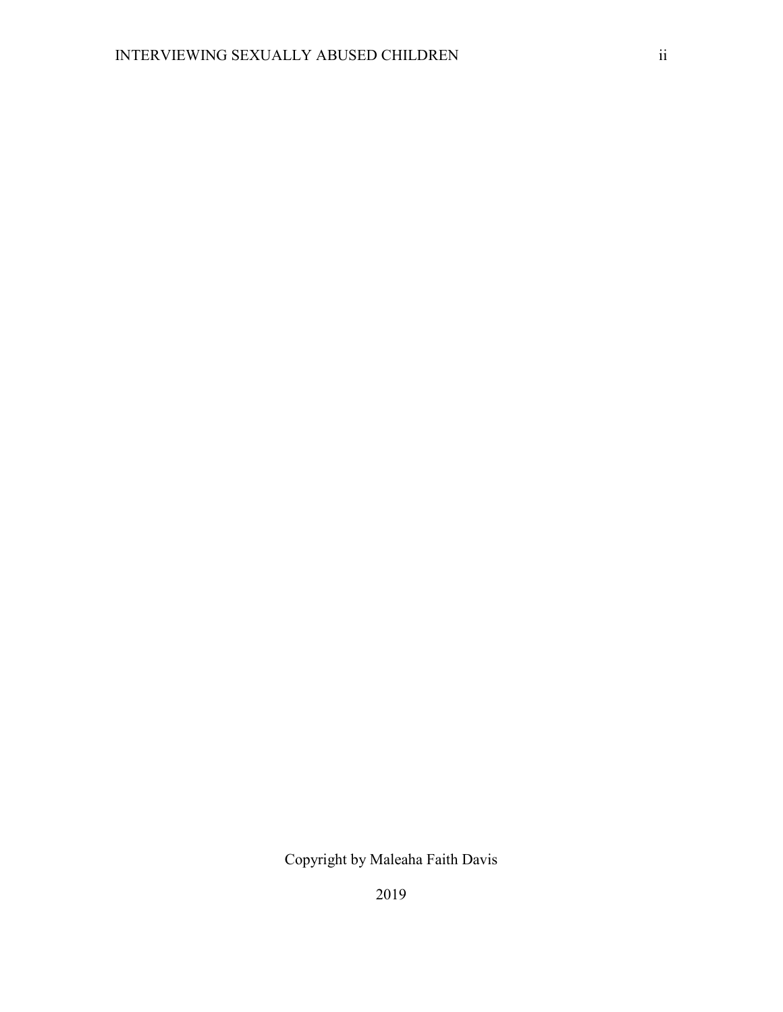Copyright by Maleaha Faith Davis

2019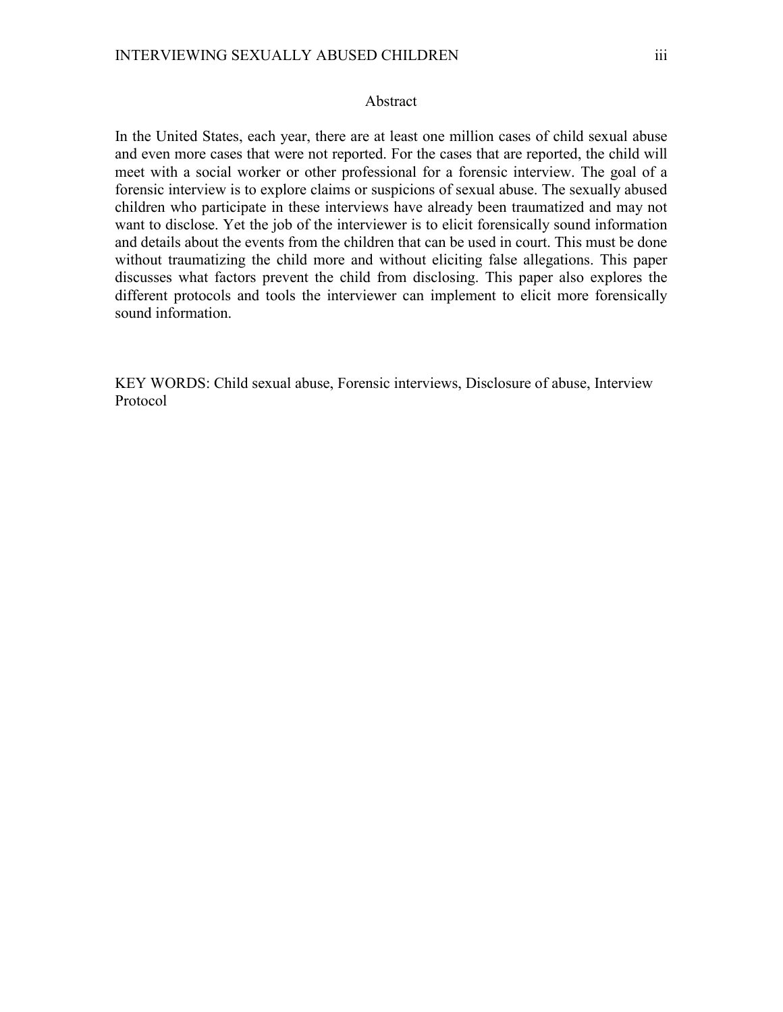#### Abstract

In the United States, each year, there are at least one million cases of child sexual abuse and even more cases that were not reported. For the cases that are reported, the child will meet with a social worker or other professional for a forensic interview. The goal of a forensic interview is to explore claims or suspicions of sexual abuse. The sexually abused children who participate in these interviews have already been traumatized and may not want to disclose. Yet the job of the interviewer is to elicit forensically sound information and details about the events from the children that can be used in court. This must be done without traumatizing the child more and without eliciting false allegations. This paper discusses what factors prevent the child from disclosing. This paper also explores the different protocols and tools the interviewer can implement to elicit more forensically sound information.

KEY WORDS: Child sexual abuse, Forensic interviews, Disclosure of abuse, Interview Protocol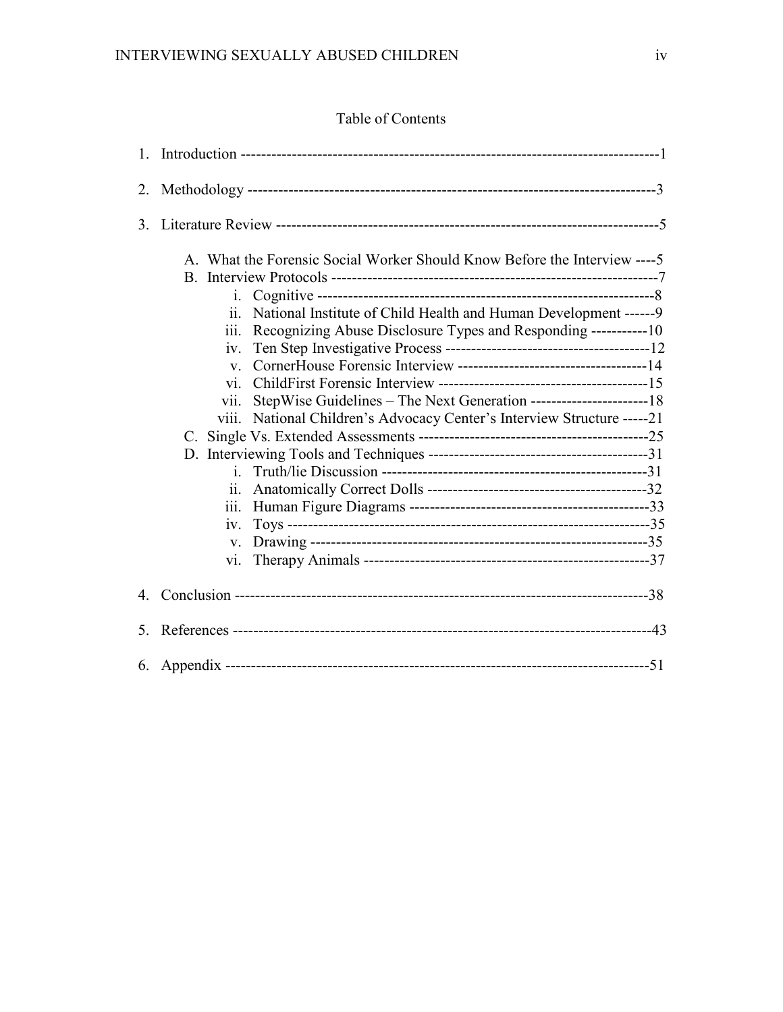# Table of Contents

| 2. |                                                                                                                                                                                                                                                                                                                                                                                                                                                                                                                         |  |
|----|-------------------------------------------------------------------------------------------------------------------------------------------------------------------------------------------------------------------------------------------------------------------------------------------------------------------------------------------------------------------------------------------------------------------------------------------------------------------------------------------------------------------------|--|
| 3. |                                                                                                                                                                                                                                                                                                                                                                                                                                                                                                                         |  |
|    | A. What the Forensic Social Worker Should Know Before the Interview ---- 5<br>$\mathbf{i}$ .<br>National Institute of Child Health and Human Development ------9<br>ii.<br>Recognizing Abuse Disclosure Types and Responding -----------10<br>iii.<br>iv.<br>$V_{\cdot}$<br>$\overline{\mathbf{v}}$<br>StepWise Guidelines - The Next Generation -------------------------18<br>V11.<br>National Children's Advocacy Center's Interview Structure -----21<br>V111.<br>1 <sub>1</sub><br>11.<br>111.<br>iv.<br>V.<br>V1. |  |
| 4. |                                                                                                                                                                                                                                                                                                                                                                                                                                                                                                                         |  |
| 5. |                                                                                                                                                                                                                                                                                                                                                                                                                                                                                                                         |  |
|    |                                                                                                                                                                                                                                                                                                                                                                                                                                                                                                                         |  |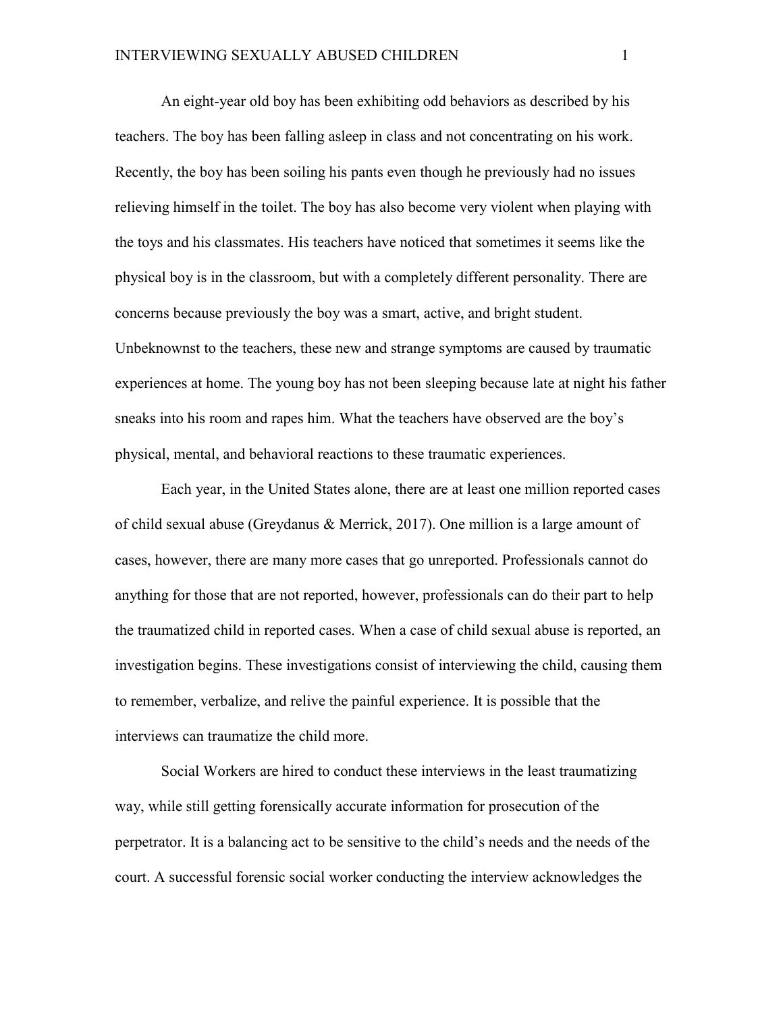An eight-year old boy has been exhibiting odd behaviors as described by his teachers. The boy has been falling asleep in class and not concentrating on his work. Recently, the boy has been soiling his pants even though he previously had no issues relieving himself in the toilet. The boy has also become very violent when playing with the toys and his classmates. His teachers have noticed that sometimes it seems like the physical boy is in the classroom, but with a completely different personality. There are concerns because previously the boy was a smart, active, and bright student. Unbeknownst to the teachers, these new and strange symptoms are caused by traumatic experiences at home. The young boy has not been sleeping because late at night his father sneaks into his room and rapes him. What the teachers have observed are the boy's physical, mental, and behavioral reactions to these traumatic experiences.

Each year, in the United States alone, there are at least one million reported cases of child sexual abuse (Greydanus & Merrick, 2017). One million is a large amount of cases, however, there are many more cases that go unreported. Professionals cannot do anything for those that are not reported, however, professionals can do their part to help the traumatized child in reported cases. When a case of child sexual abuse is reported, an investigation begins. These investigations consist of interviewing the child, causing them to remember, verbalize, and relive the painful experience. It is possible that the interviews can traumatize the child more.

Social Workers are hired to conduct these interviews in the least traumatizing way, while still getting forensically accurate information for prosecution of the perpetrator. It is a balancing act to be sensitive to the child's needs and the needs of the court. A successful forensic social worker conducting the interview acknowledges the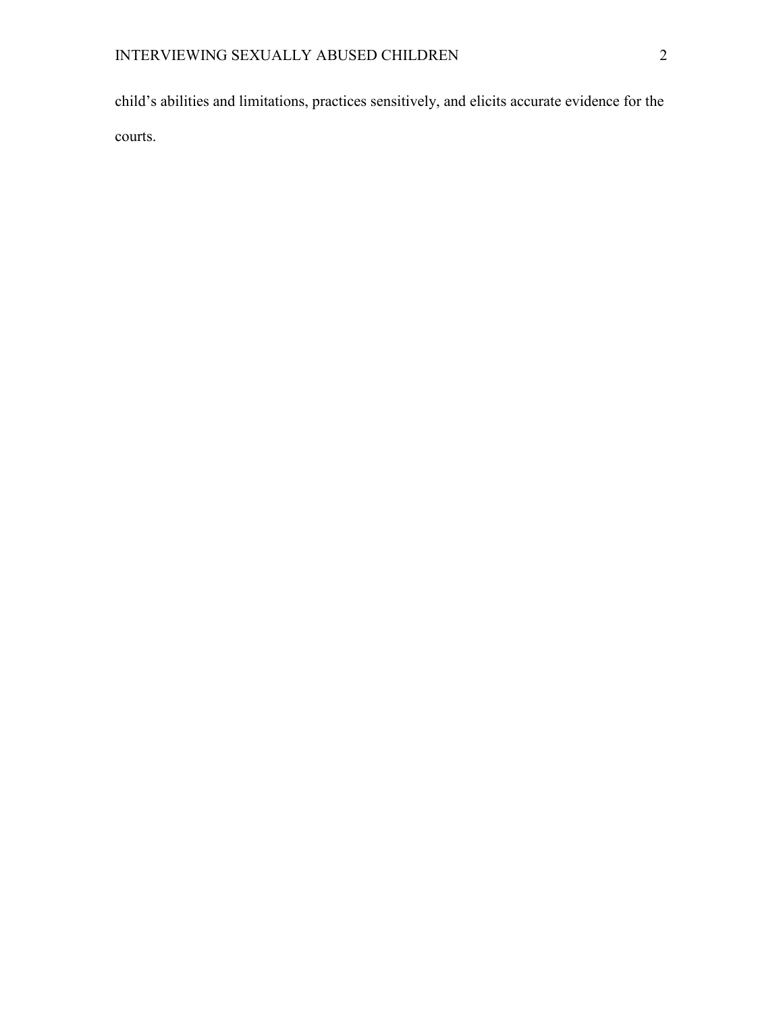child's abilities and limitations, practices sensitively, and elicits accurate evidence for the courts.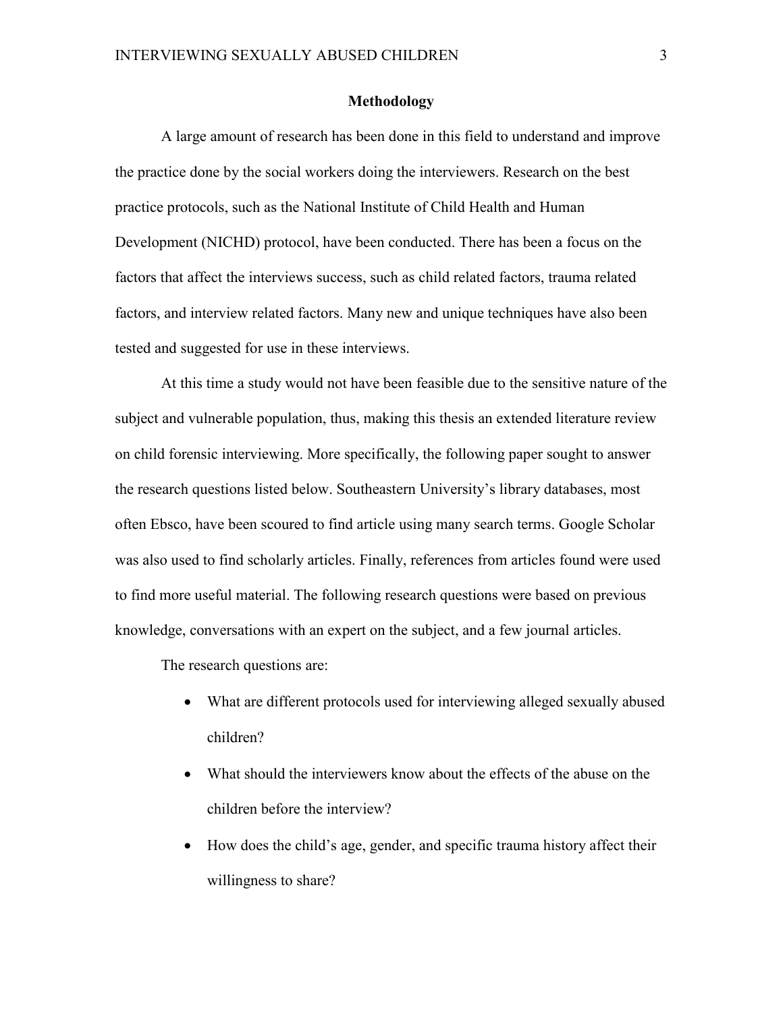#### **Methodology**

A large amount of research has been done in this field to understand and improve the practice done by the social workers doing the interviewers. Research on the best practice protocols, such as the National Institute of Child Health and Human Development (NICHD) protocol, have been conducted. There has been a focus on the factors that affect the interviews success, such as child related factors, trauma related factors, and interview related factors. Many new and unique techniques have also been tested and suggested for use in these interviews.

At this time a study would not have been feasible due to the sensitive nature of the subject and vulnerable population, thus, making this thesis an extended literature review on child forensic interviewing. More specifically, the following paper sought to answer the research questions listed below. Southeastern University's library databases, most often Ebsco, have been scoured to find article using many search terms. Google Scholar was also used to find scholarly articles. Finally, references from articles found were used to find more useful material. The following research questions were based on previous knowledge, conversations with an expert on the subject, and a few journal articles.

The research questions are:

- What are different protocols used for interviewing alleged sexually abused children?
- What should the interviewers know about the effects of the abuse on the children before the interview?
- How does the child's age, gender, and specific trauma history affect their willingness to share?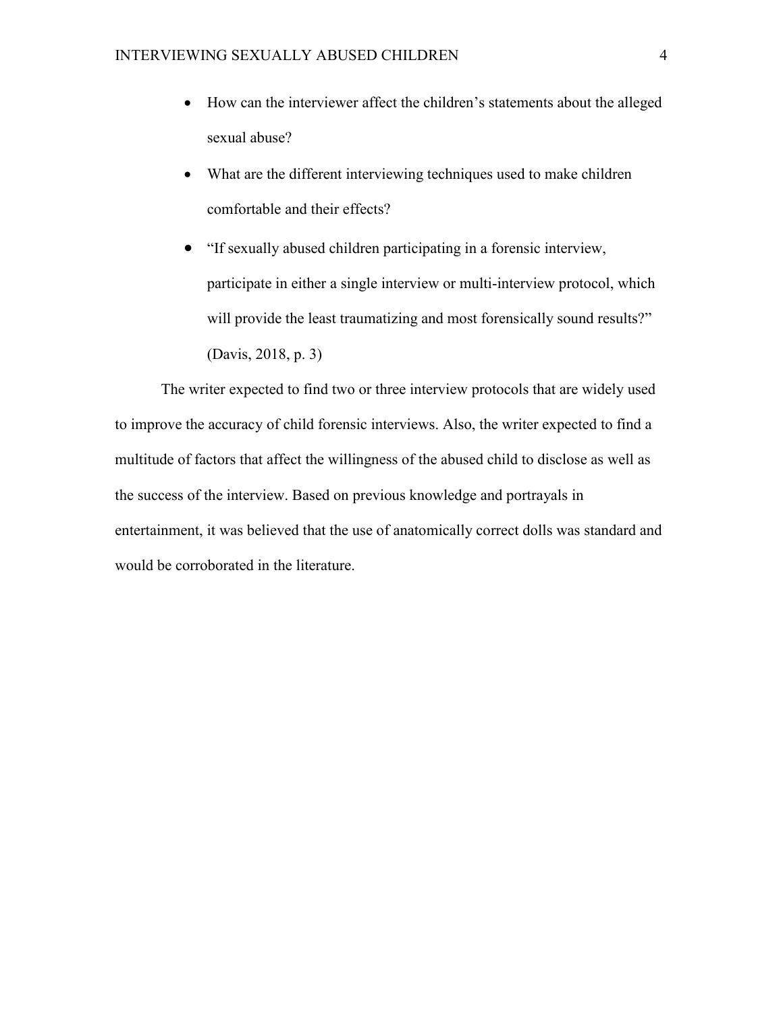- How can the interviewer affect the children's statements about the alleged sexual abuse?
- What are the different interviewing techniques used to make children comfortable and their effects?
- "If sexually abused children participating in a forensic interview, participate in either a single interview or multi-interview protocol, which will provide the least traumatizing and most forensically sound results?" (Davis, 2018, p. 3)

The writer expected to find two or three interview protocols that are widely used to improve the accuracy of child forensic interviews. Also, the writer expected to find a multitude of factors that affect the willingness of the abused child to disclose as well as the success of the interview. Based on previous knowledge and portrayals in entertainment, it was believed that the use of anatomically correct dolls was standard and would be corroborated in the literature.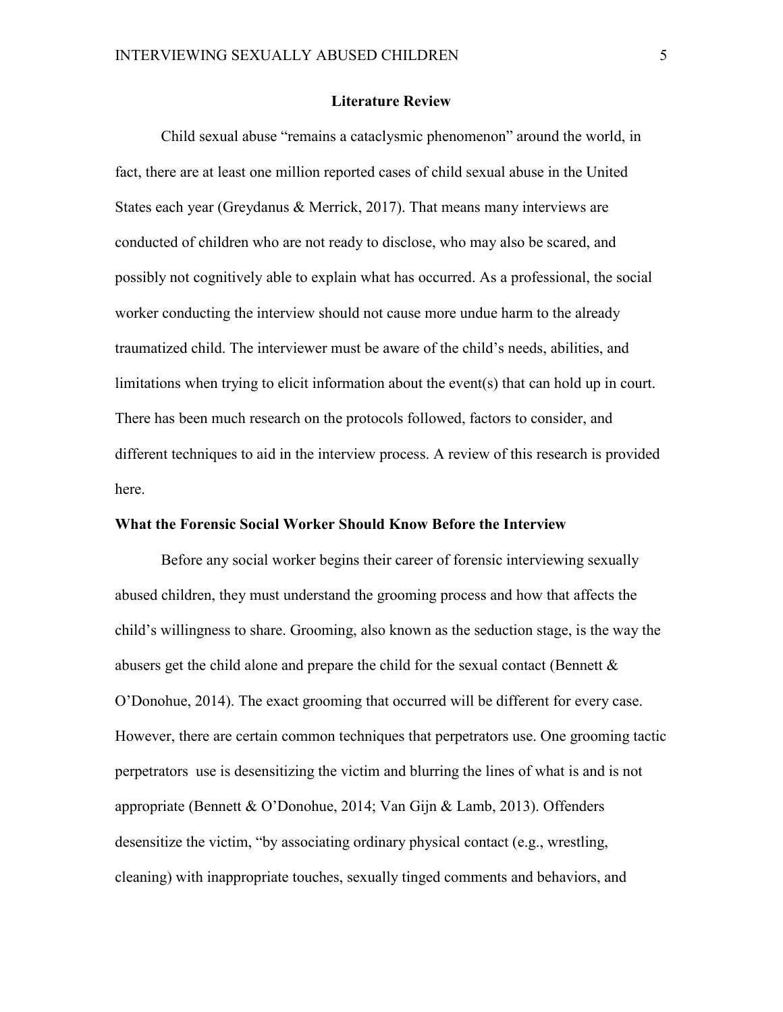#### **Literature Review**

Child sexual abuse "remains a cataclysmic phenomenon" around the world, in fact, there are at least one million reported cases of child sexual abuse in the United States each year (Greydanus & Merrick, 2017). That means many interviews are conducted of children who are not ready to disclose, who may also be scared, and possibly not cognitively able to explain what has occurred. As a professional, the social worker conducting the interview should not cause more undue harm to the already traumatized child. The interviewer must be aware of the child's needs, abilities, and limitations when trying to elicit information about the event(s) that can hold up in court. There has been much research on the protocols followed, factors to consider, and different techniques to aid in the interview process. A review of this research is provided here.

#### **What the Forensic Social Worker Should Know Before the Interview**

Before any social worker begins their career of forensic interviewing sexually abused children, they must understand the grooming process and how that affects the child's willingness to share. Grooming, also known as the seduction stage, is the way the abusers get the child alone and prepare the child for the sexual contact (Bennett & O'Donohue, 2014). The exact grooming that occurred will be different for every case. However, there are certain common techniques that perpetrators use. One grooming tactic perpetrators use is desensitizing the victim and blurring the lines of what is and is not appropriate (Bennett & O'Donohue, 2014; Van Gijn & Lamb, 2013). Offenders desensitize the victim, "by associating ordinary physical contact (e.g., wrestling, cleaning) with inappropriate touches, sexually tinged comments and behaviors, and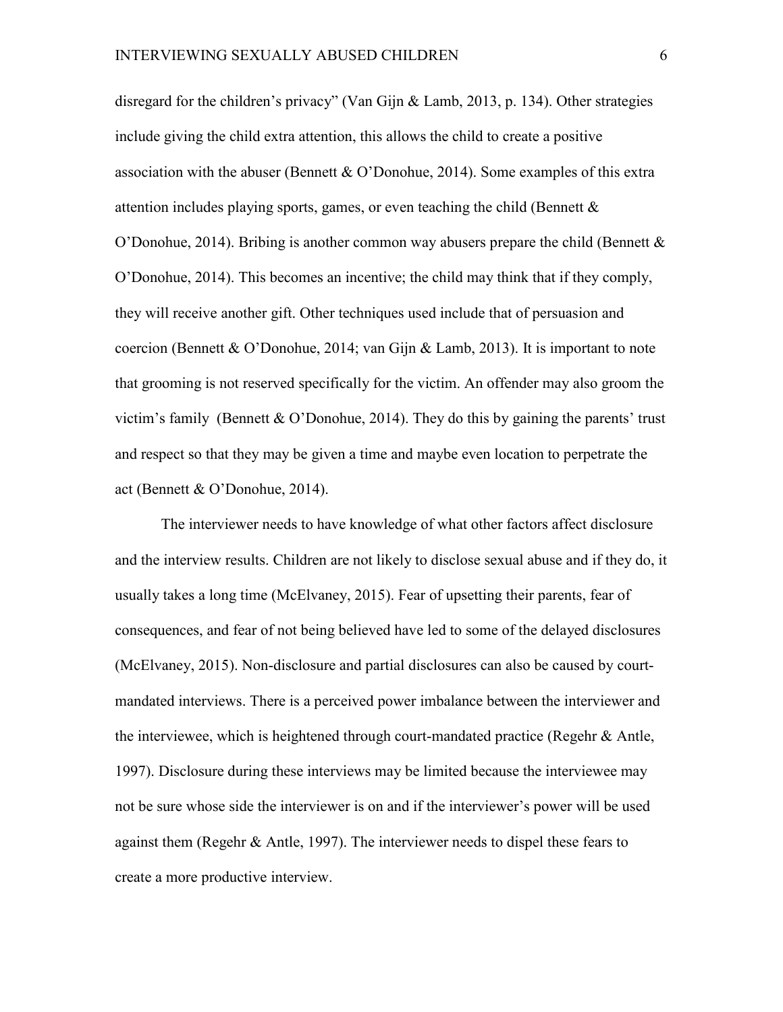disregard for the children's privacy" (Van Gijn & Lamb, 2013, p. 134). Other strategies include giving the child extra attention, this allows the child to create a positive association with the abuser (Bennett & O'Donohue, 2014). Some examples of this extra attention includes playing sports, games, or even teaching the child (Bennett  $\&$ O'Donohue, 2014). Bribing is another common way abusers prepare the child (Bennett  $\&$ O'Donohue, 2014). This becomes an incentive; the child may think that if they comply, they will receive another gift. Other techniques used include that of persuasion and coercion (Bennett & O'Donohue, 2014; van Gijn & Lamb, 2013). It is important to note that grooming is not reserved specifically for the victim. An offender may also groom the victim's family (Bennett & O'Donohue, 2014). They do this by gaining the parents' trust and respect so that they may be given a time and maybe even location to perpetrate the act (Bennett & O'Donohue, 2014).

The interviewer needs to have knowledge of what other factors affect disclosure and the interview results. Children are not likely to disclose sexual abuse and if they do, it usually takes a long time (McElvaney, 2015). Fear of upsetting their parents, fear of consequences, and fear of not being believed have led to some of the delayed disclosures (McElvaney, 2015). Non-disclosure and partial disclosures can also be caused by courtmandated interviews. There is a perceived power imbalance between the interviewer and the interviewee, which is heightened through court-mandated practice (Regehr & Antle, 1997). Disclosure during these interviews may be limited because the interviewee may not be sure whose side the interviewer is on and if the interviewer's power will be used against them (Regehr & Antle, 1997). The interviewer needs to dispel these fears to create a more productive interview.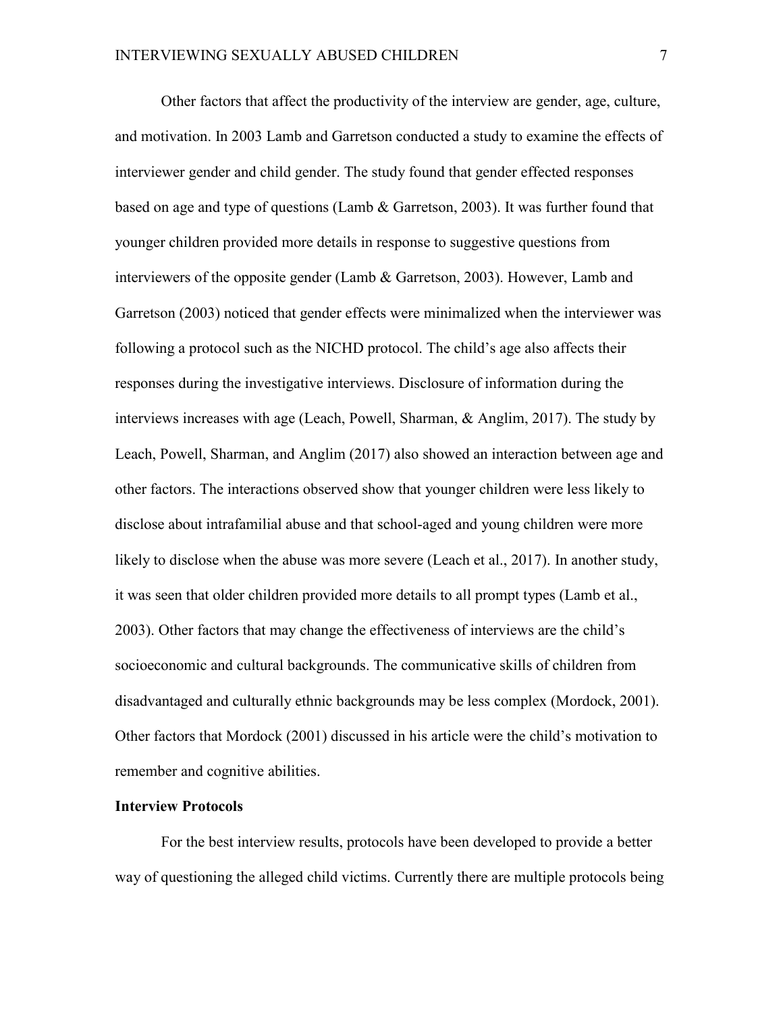Other factors that affect the productivity of the interview are gender, age, culture, and motivation. In 2003 Lamb and Garretson conducted a study to examine the effects of interviewer gender and child gender. The study found that gender effected responses based on age and type of questions (Lamb & Garretson, 2003). It was further found that younger children provided more details in response to suggestive questions from interviewers of the opposite gender (Lamb & Garretson, 2003). However, Lamb and Garretson (2003) noticed that gender effects were minimalized when the interviewer was following a protocol such as the NICHD protocol. The child's age also affects their responses during the investigative interviews. Disclosure of information during the interviews increases with age (Leach, Powell, Sharman, & Anglim, 2017). The study by Leach, Powell, Sharman, and Anglim (2017) also showed an interaction between age and other factors. The interactions observed show that younger children were less likely to disclose about intrafamilial abuse and that school-aged and young children were more likely to disclose when the abuse was more severe (Leach et al., 2017). In another study, it was seen that older children provided more details to all prompt types (Lamb et al., 2003). Other factors that may change the effectiveness of interviews are the child's socioeconomic and cultural backgrounds. The communicative skills of children from disadvantaged and culturally ethnic backgrounds may be less complex (Mordock, 2001). Other factors that Mordock (2001) discussed in his article were the child's motivation to remember and cognitive abilities.

## **Interview Protocols**

For the best interview results, protocols have been developed to provide a better way of questioning the alleged child victims. Currently there are multiple protocols being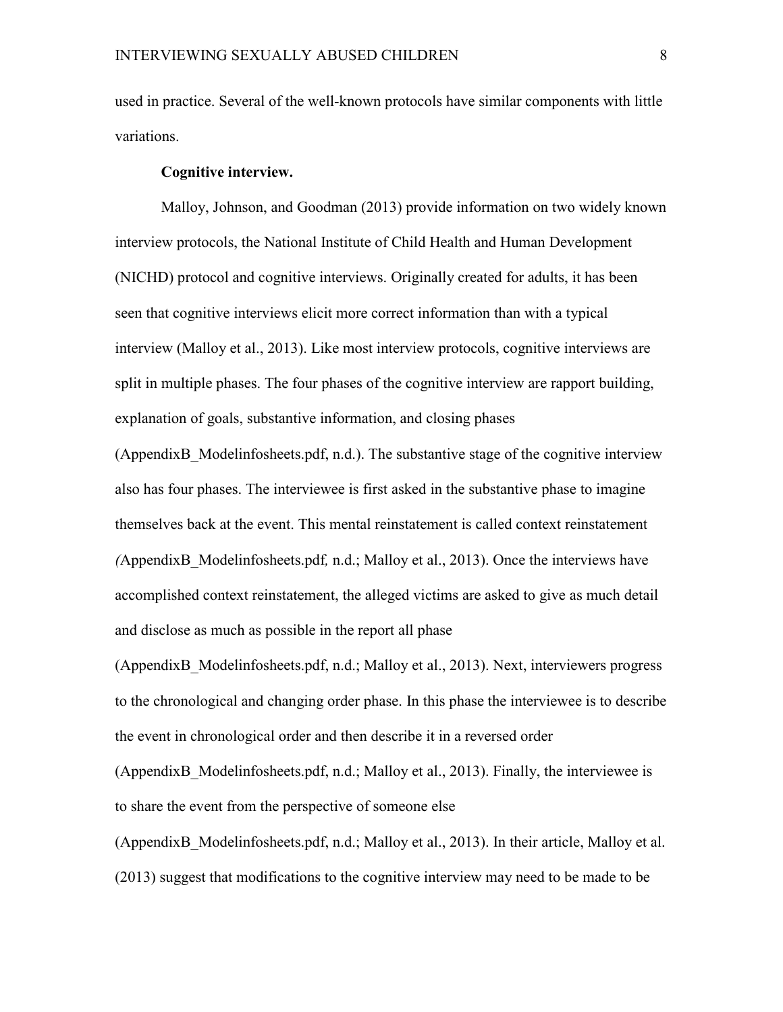used in practice. Several of the well-known protocols have similar components with little variations.

#### **Cognitive interview.**

Malloy, Johnson, and Goodman (2013) provide information on two widely known interview protocols, the National Institute of Child Health and Human Development (NICHD) protocol and cognitive interviews. Originally created for adults, it has been seen that cognitive interviews elicit more correct information than with a typical interview (Malloy et al., 2013). Like most interview protocols, cognitive interviews are split in multiple phases. The four phases of the cognitive interview are rapport building, explanation of goals, substantive information, and closing phases

(AppendixB\_Modelinfosheets.pdf, n.d.). The substantive stage of the cognitive interview also has four phases. The interviewee is first asked in the substantive phase to imagine themselves back at the event. This mental reinstatement is called context reinstatement *(*AppendixB\_Modelinfosheets.pdf*,* n.d.; Malloy et al., 2013). Once the interviews have accomplished context reinstatement, the alleged victims are asked to give as much detail and disclose as much as possible in the report all phase

(AppendixB\_Modelinfosheets.pdf, n.d.; Malloy et al., 2013). Next, interviewers progress to the chronological and changing order phase. In this phase the interviewee is to describe the event in chronological order and then describe it in a reversed order

(AppendixB\_Modelinfosheets.pdf, n.d.; Malloy et al., 2013). Finally, the interviewee is to share the event from the perspective of someone else

(AppendixB\_Modelinfosheets.pdf, n.d.; Malloy et al., 2013). In their article, Malloy et al. (2013) suggest that modifications to the cognitive interview may need to be made to be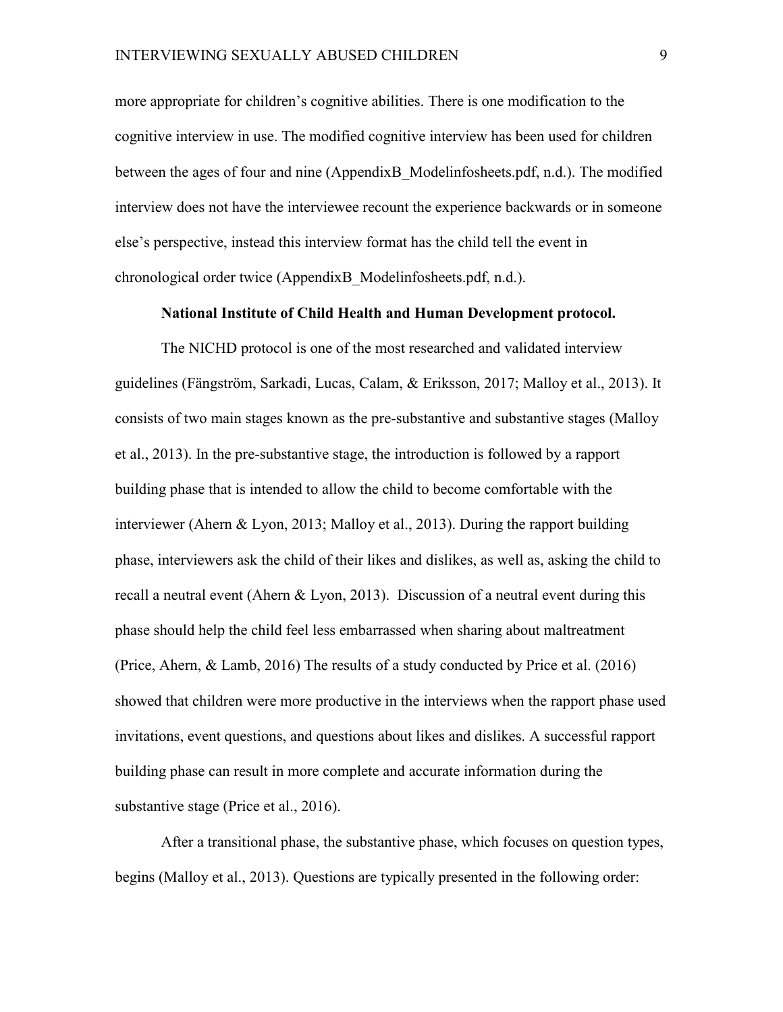more appropriate for children's cognitive abilities. There is one modification to the cognitive interview in use. The modified cognitive interview has been used for children between the ages of four and nine (AppendixB\_Modelinfosheets.pdf, n.d.). The modified interview does not have the interviewee recount the experience backwards or in someone else's perspective, instead this interview format has the child tell the event in chronological order twice (AppendixB\_Modelinfosheets.pdf, n.d.).

#### **National Institute of Child Health and Human Development protocol.**

The NICHD protocol is one of the most researched and validated interview guidelines (Fängström, Sarkadi, Lucas, Calam, & Eriksson, 2017; Malloy et al., 2013). It consists of two main stages known as the pre-substantive and substantive stages (Malloy et al., 2013). In the pre-substantive stage, the introduction is followed by a rapport building phase that is intended to allow the child to become comfortable with the interviewer (Ahern & Lyon, 2013; Malloy et al., 2013). During the rapport building phase, interviewers ask the child of their likes and dislikes, as well as, asking the child to recall a neutral event (Ahern & Lyon, 2013). Discussion of a neutral event during this phase should help the child feel less embarrassed when sharing about maltreatment (Price, Ahern, & Lamb, 2016) The results of a study conducted by Price et al. (2016) showed that children were more productive in the interviews when the rapport phase used invitations, event questions, and questions about likes and dislikes. A successful rapport building phase can result in more complete and accurate information during the substantive stage (Price et al., 2016).

After a transitional phase, the substantive phase, which focuses on question types, begins (Malloy et al., 2013). Questions are typically presented in the following order: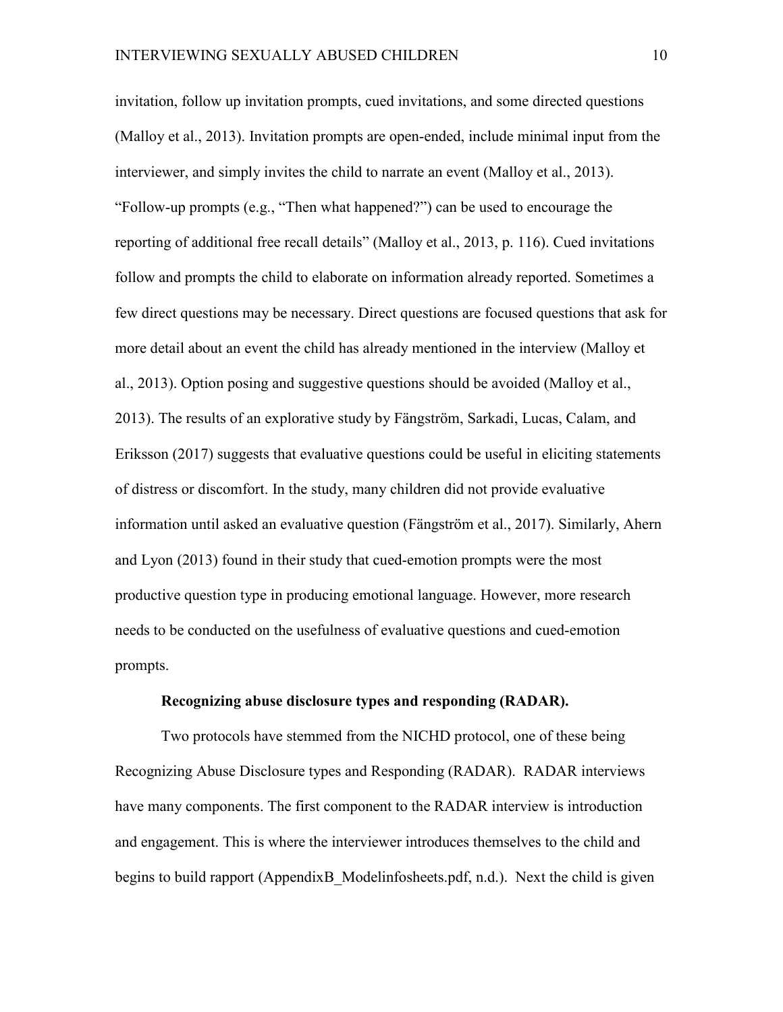invitation, follow up invitation prompts, cued invitations, and some directed questions (Malloy et al., 2013). Invitation prompts are open-ended, include minimal input from the interviewer, and simply invites the child to narrate an event (Malloy et al., 2013). "Follow-up prompts (e.g., "Then what happened?") can be used to encourage the reporting of additional free recall details" (Malloy et al., 2013, p. 116). Cued invitations follow and prompts the child to elaborate on information already reported. Sometimes a few direct questions may be necessary. Direct questions are focused questions that ask for more detail about an event the child has already mentioned in the interview (Malloy et al., 2013). Option posing and suggestive questions should be avoided (Malloy et al., 2013). The results of an explorative study by Fängström, Sarkadi, Lucas, Calam, and Eriksson (2017) suggests that evaluative questions could be useful in eliciting statements of distress or discomfort. In the study, many children did not provide evaluative information until asked an evaluative question (Fängström et al., 2017). Similarly, Ahern and Lyon (2013) found in their study that cued-emotion prompts were the most productive question type in producing emotional language. However, more research needs to be conducted on the usefulness of evaluative questions and cued-emotion prompts.

#### **Recognizing abuse disclosure types and responding (RADAR).**

Two protocols have stemmed from the NICHD protocol, one of these being Recognizing Abuse Disclosure types and Responding (RADAR). RADAR interviews have many components. The first component to the RADAR interview is introduction and engagement. This is where the interviewer introduces themselves to the child and begins to build rapport (AppendixB Modelinfosheets.pdf, n.d.). Next the child is given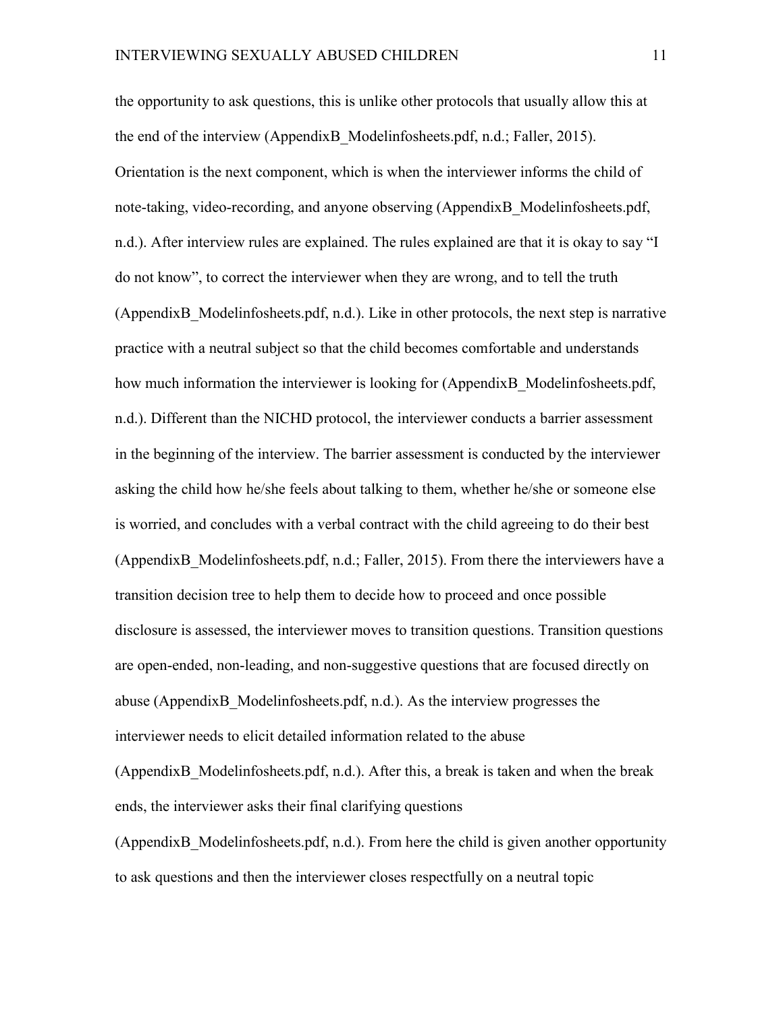the opportunity to ask questions, this is unlike other protocols that usually allow this at the end of the interview (AppendixB\_Modelinfosheets.pdf, n.d.; Faller, 2015). Orientation is the next component, which is when the interviewer informs the child of note-taking, video-recording, and anyone observing (AppendixB\_Modelinfosheets.pdf, n.d.). After interview rules are explained. The rules explained are that it is okay to say "I do not know", to correct the interviewer when they are wrong, and to tell the truth (AppendixB\_Modelinfosheets.pdf, n.d.). Like in other protocols, the next step is narrative practice with a neutral subject so that the child becomes comfortable and understands how much information the interviewer is looking for (AppendixB Modelinfosheets.pdf, n.d.). Different than the NICHD protocol, the interviewer conducts a barrier assessment in the beginning of the interview. The barrier assessment is conducted by the interviewer asking the child how he/she feels about talking to them, whether he/she or someone else is worried, and concludes with a verbal contract with the child agreeing to do their best (AppendixB\_Modelinfosheets.pdf, n.d.; Faller, 2015). From there the interviewers have a transition decision tree to help them to decide how to proceed and once possible disclosure is assessed, the interviewer moves to transition questions. Transition questions are open-ended, non-leading, and non-suggestive questions that are focused directly on abuse (AppendixB\_Modelinfosheets.pdf, n.d.). As the interview progresses the interviewer needs to elicit detailed information related to the abuse (AppendixB\_Modelinfosheets.pdf, n.d.). After this, a break is taken and when the break ends, the interviewer asks their final clarifying questions (AppendixB\_Modelinfosheets.pdf, n.d.). From here the child is given another opportunity

to ask questions and then the interviewer closes respectfully on a neutral topic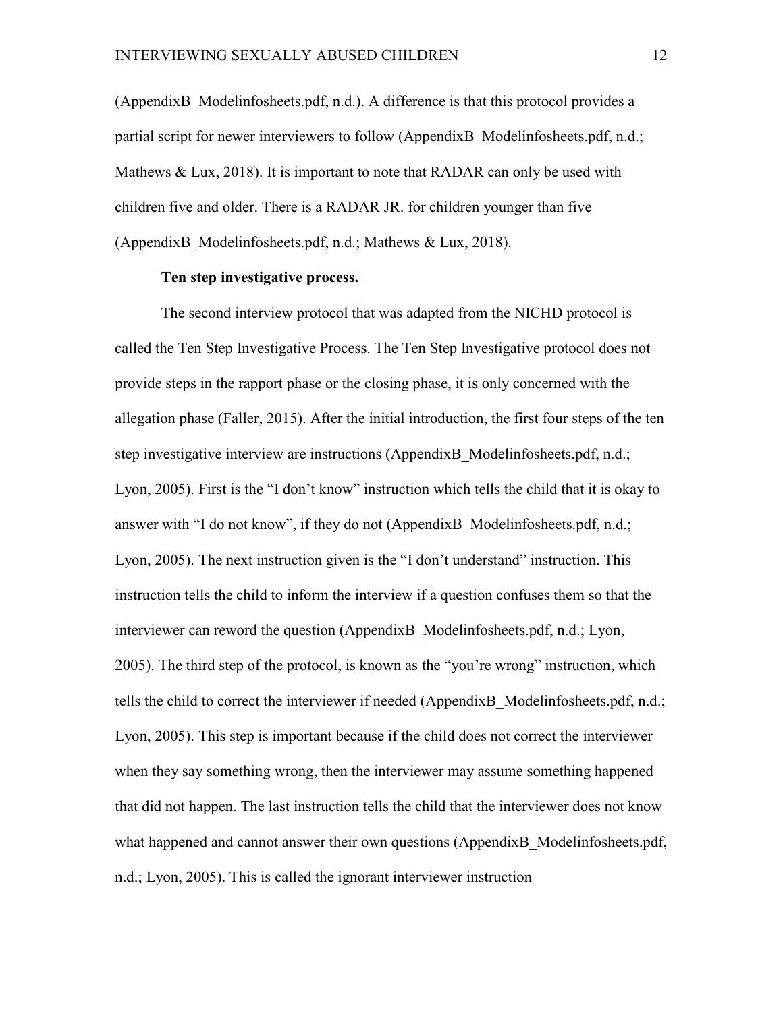(AppendixB\_Modelinfosheets.pdf, n.d.). A difference is that this protocol provides a partial script for newer interviewers to follow (AppendixB\_Modelinfosheets.pdf, n.d.; Mathews & Lux, 2018). It is important to note that RADAR can only be used with children five and older. There is a RADAR JR. for children younger than five (AppendixB\_Modelinfosheets.pdf, n.d.; Mathews & Lux, 2018).

## **Ten step investigative process.**

The second interview protocol that was adapted from the NICHD protocol is called the Ten Step Investigative Process. The Ten Step Investigative protocol does not provide steps in the rapport phase or the closing phase, it is only concerned with the allegation phase (Faller, 2015). After the initial introduction, the first four steps of the ten step investigative interview are instructions (AppendixB\_Modelinfosheets.pdf, n.d.; Lyon, 2005). First is the "I don't know" instruction which tells the child that it is okay to answer with "I do not know", if they do not (AppendixB Modelinfosheets.pdf, n.d.; Lyon, 2005). The next instruction given is the "I don't understand" instruction. This instruction tells the child to inform the interview if a question confuses them so that the interviewer can reword the question (AppendixB\_Modelinfosheets.pdf, n.d.; Lyon, 2005). The third step of the protocol, is known as the "you're wrong" instruction, which tells the child to correct the interviewer if needed (AppendixB\_Modelinfosheets.pdf, n.d.; Lyon, 2005). This step is important because if the child does not correct the interviewer when they say something wrong, then the interviewer may assume something happened that did not happen. The last instruction tells the child that the interviewer does not know what happened and cannot answer their own questions (AppendixB Modelinfosheets.pdf, n.d.; Lyon, 2005). This is called the ignorant interviewer instruction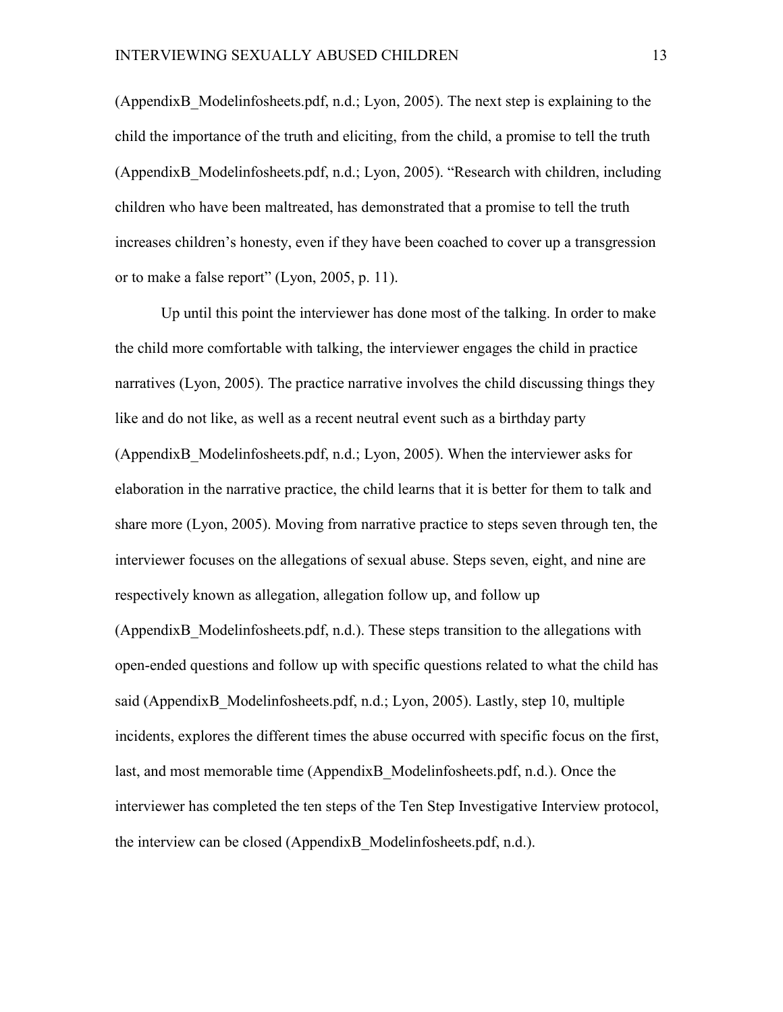(AppendixB\_Modelinfosheets.pdf, n.d.; Lyon, 2005). The next step is explaining to the child the importance of the truth and eliciting, from the child, a promise to tell the truth (AppendixB\_Modelinfosheets.pdf, n.d.; Lyon, 2005). "Research with children, including children who have been maltreated, has demonstrated that a promise to tell the truth increases children's honesty, even if they have been coached to cover up a transgression or to make a false report" (Lyon, 2005, p. 11).

Up until this point the interviewer has done most of the talking. In order to make the child more comfortable with talking, the interviewer engages the child in practice narratives (Lyon, 2005). The practice narrative involves the child discussing things they like and do not like, as well as a recent neutral event such as a birthday party (AppendixB\_Modelinfosheets.pdf, n.d.; Lyon, 2005). When the interviewer asks for elaboration in the narrative practice, the child learns that it is better for them to talk and share more (Lyon, 2005). Moving from narrative practice to steps seven through ten, the interviewer focuses on the allegations of sexual abuse. Steps seven, eight, and nine are respectively known as allegation, allegation follow up, and follow up (AppendixB\_Modelinfosheets.pdf, n.d.). These steps transition to the allegations with open-ended questions and follow up with specific questions related to what the child has said (AppendixB Modelinfosheets.pdf, n.d.; Lyon, 2005). Lastly, step 10, multiple incidents, explores the different times the abuse occurred with specific focus on the first, last, and most memorable time (AppendixB\_Modelinfosheets.pdf, n.d.). Once the interviewer has completed the ten steps of the Ten Step Investigative Interview protocol, the interview can be closed (AppendixB\_Modelinfosheets.pdf, n.d.).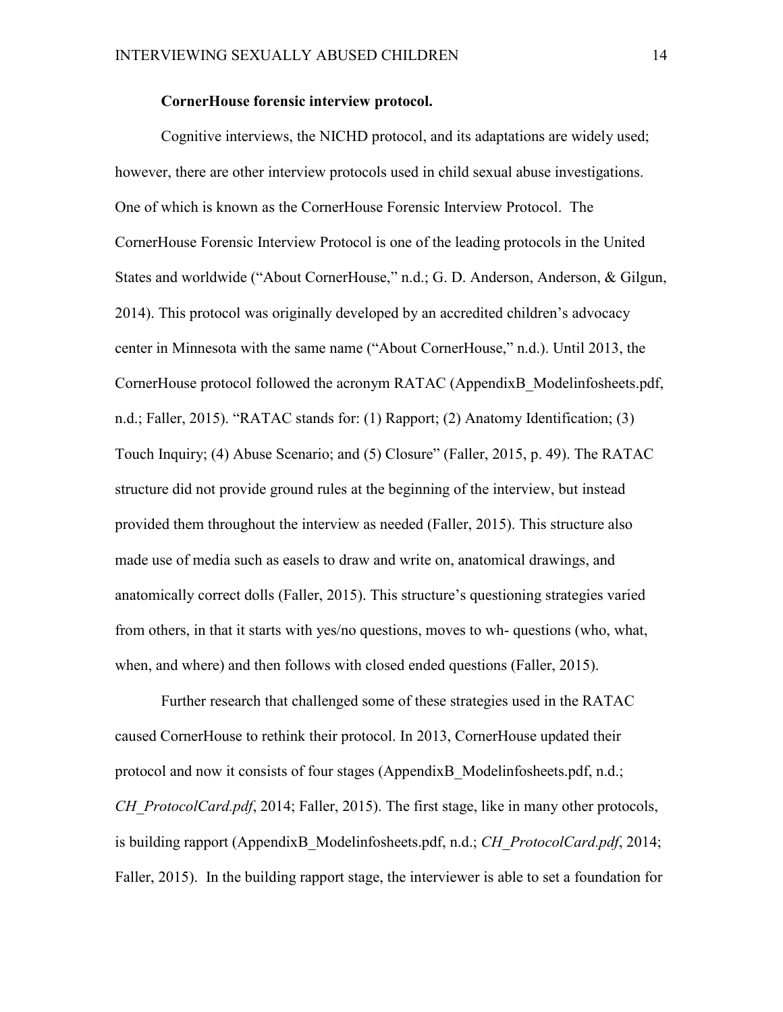#### **CornerHouse forensic interview protocol.**

Cognitive interviews, the NICHD protocol, and its adaptations are widely used; however, there are other interview protocols used in child sexual abuse investigations. One of which is known as the CornerHouse Forensic Interview Protocol. The CornerHouse Forensic Interview Protocol is one of the leading protocols in the United States and worldwide ("About CornerHouse," n.d.; G. D. Anderson, Anderson, & Gilgun, 2014). This protocol was originally developed by an accredited children's advocacy center in Minnesota with the same name ("About CornerHouse," n.d.). Until 2013, the CornerHouse protocol followed the acronym RATAC (AppendixB\_Modelinfosheets.pdf, n.d.; Faller, 2015). "RATAC stands for: (1) Rapport; (2) Anatomy Identification; (3) Touch Inquiry; (4) Abuse Scenario; and (5) Closure" (Faller, 2015, p. 49). The RATAC structure did not provide ground rules at the beginning of the interview, but instead provided them throughout the interview as needed (Faller, 2015). This structure also made use of media such as easels to draw and write on, anatomical drawings, and anatomically correct dolls (Faller, 2015). This structure's questioning strategies varied from others, in that it starts with yes/no questions, moves to wh- questions (who, what, when, and where) and then follows with closed ended questions (Faller, 2015).

Further research that challenged some of these strategies used in the RATAC caused CornerHouse to rethink their protocol. In 2013, CornerHouse updated their protocol and now it consists of four stages (AppendixB\_Modelinfosheets.pdf, n.d.; *CH\_ProtocolCard.pdf*, 2014; Faller, 2015). The first stage, like in many other protocols, is building rapport (AppendixB\_Modelinfosheets.pdf, n.d.; *CH\_ProtocolCard.pdf*, 2014; Faller, 2015). In the building rapport stage, the interviewer is able to set a foundation for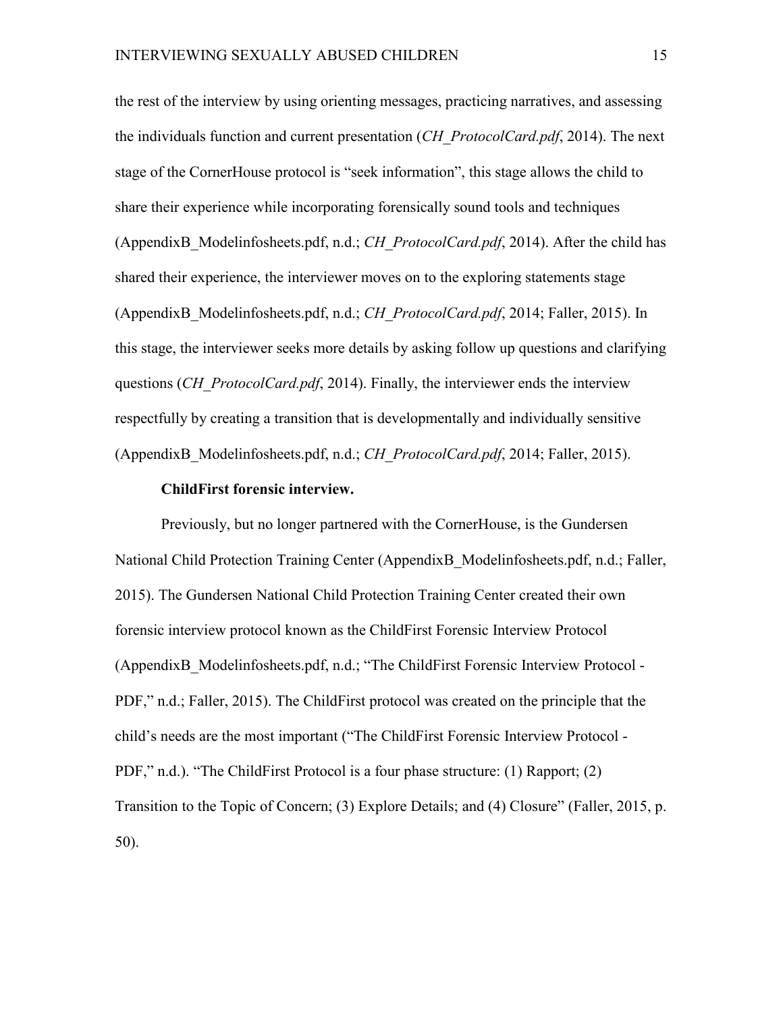the rest of the interview by using orienting messages, practicing narratives, and assessing the individuals function and current presentation (*CH\_ProtocolCard.pdf*, 2014). The next stage of the CornerHouse protocol is "seek information", this stage allows the child to share their experience while incorporating forensically sound tools and techniques (AppendixB\_Modelinfosheets.pdf, n.d.; *CH\_ProtocolCard.pdf*, 2014). After the child has shared their experience, the interviewer moves on to the exploring statements stage (AppendixB\_Modelinfosheets.pdf, n.d.; *CH\_ProtocolCard.pdf*, 2014; Faller, 2015). In this stage, the interviewer seeks more details by asking follow up questions and clarifying questions (*CH\_ProtocolCard.pdf*, 2014). Finally, the interviewer ends the interview respectfully by creating a transition that is developmentally and individually sensitive (AppendixB\_Modelinfosheets.pdf, n.d.; *CH\_ProtocolCard.pdf*, 2014; Faller, 2015).

#### **ChildFirst forensic interview.**

Previously, but no longer partnered with the CornerHouse, is the Gundersen National Child Protection Training Center (AppendixB\_Modelinfosheets.pdf, n.d.; Faller, 2015). The Gundersen National Child Protection Training Center created their own forensic interview protocol known as the ChildFirst Forensic Interview Protocol (AppendixB\_Modelinfosheets.pdf, n.d.; "The ChildFirst Forensic Interview Protocol - PDF," n.d.; Faller, 2015). The ChildFirst protocol was created on the principle that the child's needs are the most important ("The ChildFirst Forensic Interview Protocol - PDF," n.d.). "The ChildFirst Protocol is a four phase structure: (1) Rapport; (2) Transition to the Topic of Concern; (3) Explore Details; and (4) Closure" (Faller, 2015, p. 50).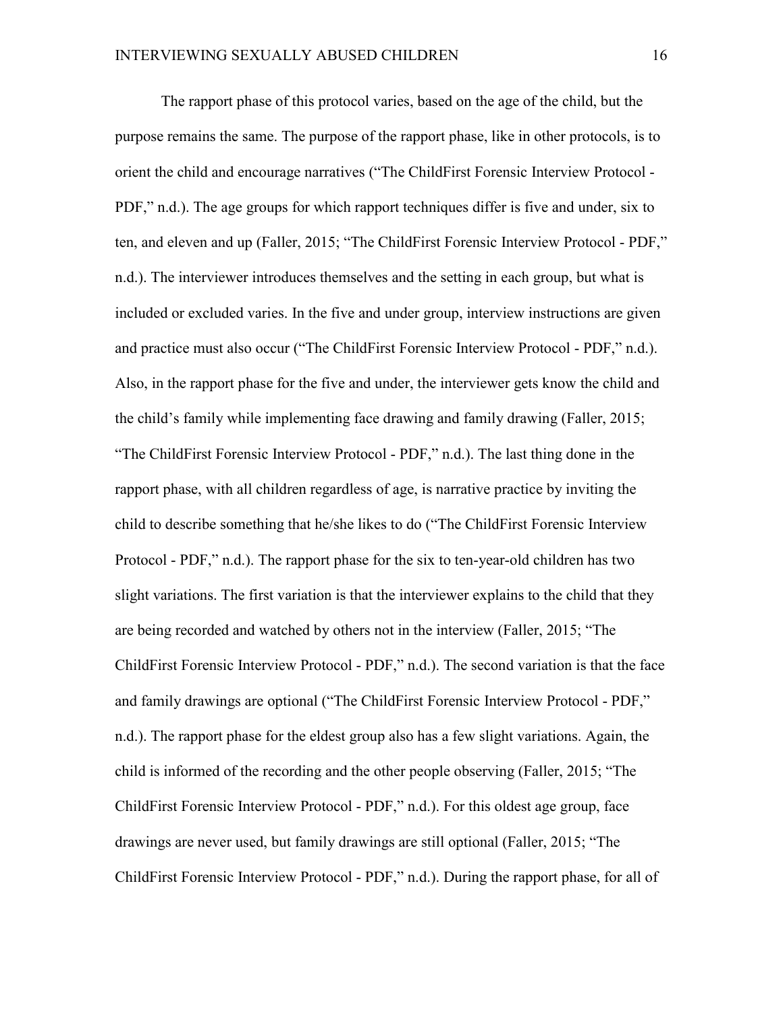The rapport phase of this protocol varies, based on the age of the child, but the purpose remains the same. The purpose of the rapport phase, like in other protocols, is to orient the child and encourage narratives ("The ChildFirst Forensic Interview Protocol - PDF," n.d.). The age groups for which rapport techniques differ is five and under, six to ten, and eleven and up (Faller, 2015; "The ChildFirst Forensic Interview Protocol - PDF," n.d.). The interviewer introduces themselves and the setting in each group, but what is included or excluded varies. In the five and under group, interview instructions are given and practice must also occur ("The ChildFirst Forensic Interview Protocol - PDF," n.d.). Also, in the rapport phase for the five and under, the interviewer gets know the child and the child's family while implementing face drawing and family drawing (Faller, 2015; "The ChildFirst Forensic Interview Protocol - PDF," n.d.). The last thing done in the rapport phase, with all children regardless of age, is narrative practice by inviting the child to describe something that he/she likes to do ("The ChildFirst Forensic Interview Protocol - PDF," n.d.). The rapport phase for the six to ten-year-old children has two slight variations. The first variation is that the interviewer explains to the child that they are being recorded and watched by others not in the interview (Faller, 2015; "The ChildFirst Forensic Interview Protocol - PDF," n.d.). The second variation is that the face and family drawings are optional ("The ChildFirst Forensic Interview Protocol - PDF," n.d.). The rapport phase for the eldest group also has a few slight variations. Again, the child is informed of the recording and the other people observing (Faller, 2015; "The ChildFirst Forensic Interview Protocol - PDF," n.d.). For this oldest age group, face drawings are never used, but family drawings are still optional (Faller, 2015; "The ChildFirst Forensic Interview Protocol - PDF," n.d.). During the rapport phase, for all of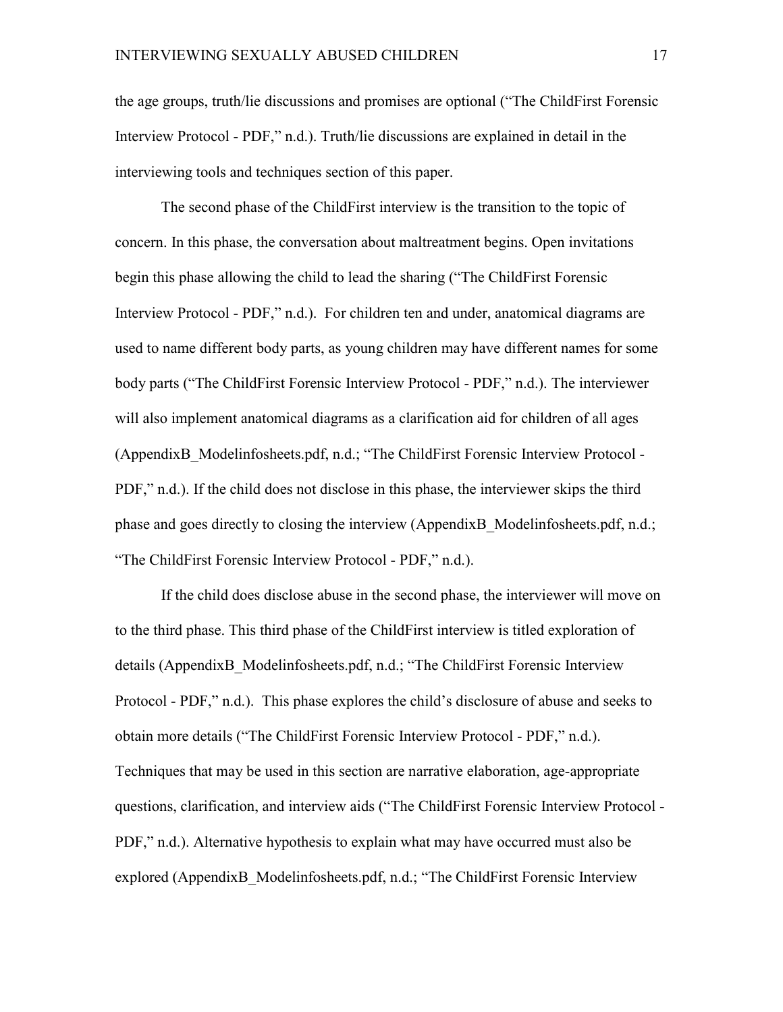the age groups, truth/lie discussions and promises are optional ("The ChildFirst Forensic Interview Protocol - PDF," n.d.). Truth/lie discussions are explained in detail in the interviewing tools and techniques section of this paper.

The second phase of the ChildFirst interview is the transition to the topic of concern. In this phase, the conversation about maltreatment begins. Open invitations begin this phase allowing the child to lead the sharing ("The ChildFirst Forensic Interview Protocol - PDF," n.d.). For children ten and under, anatomical diagrams are used to name different body parts, as young children may have different names for some body parts ("The ChildFirst Forensic Interview Protocol - PDF," n.d.). The interviewer will also implement anatomical diagrams as a clarification aid for children of all ages (AppendixB\_Modelinfosheets.pdf, n.d.; "The ChildFirst Forensic Interview Protocol - PDF," n.d.). If the child does not disclose in this phase, the interviewer skips the third phase and goes directly to closing the interview (AppendixB\_Modelinfosheets.pdf, n.d.; "The ChildFirst Forensic Interview Protocol - PDF," n.d.).

If the child does disclose abuse in the second phase, the interviewer will move on to the third phase. This third phase of the ChildFirst interview is titled exploration of details (AppendixB\_Modelinfosheets.pdf, n.d.; "The ChildFirst Forensic Interview Protocol - PDF," n.d.). This phase explores the child's disclosure of abuse and seeks to obtain more details ("The ChildFirst Forensic Interview Protocol - PDF," n.d.). Techniques that may be used in this section are narrative elaboration, age-appropriate questions, clarification, and interview aids ("The ChildFirst Forensic Interview Protocol - PDF," n.d.). Alternative hypothesis to explain what may have occurred must also be explored (AppendixB\_Modelinfosheets.pdf, n.d.; "The ChildFirst Forensic Interview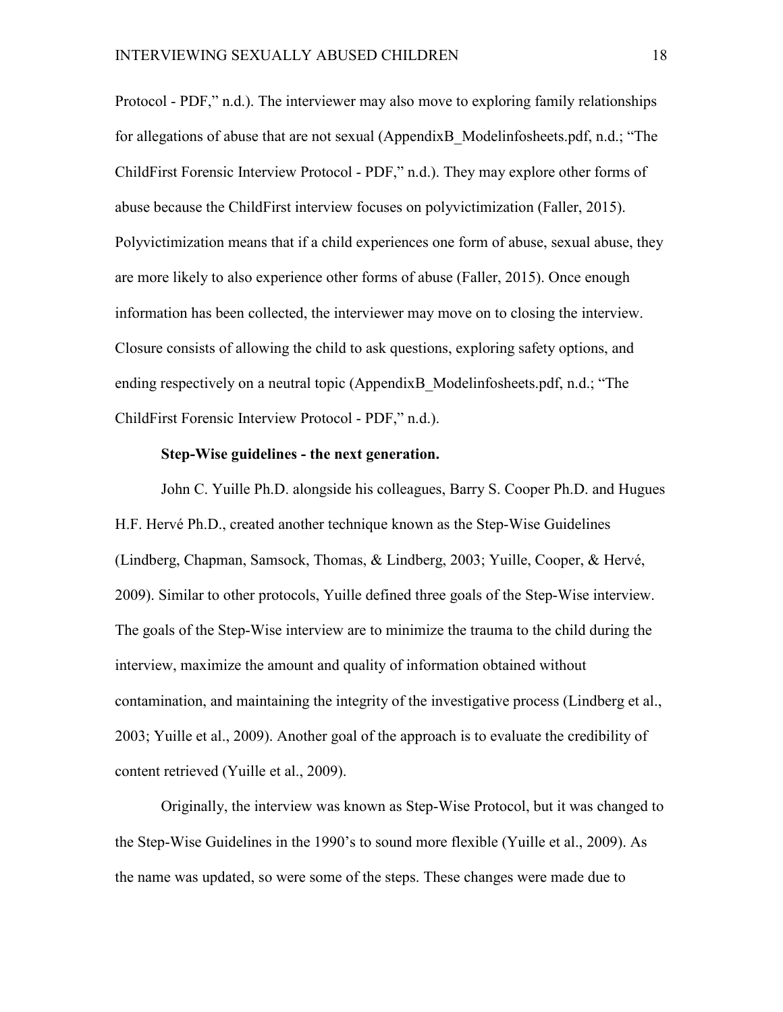Protocol - PDF," n.d.). The interviewer may also move to exploring family relationships for allegations of abuse that are not sexual (AppendixB Modelinfosheets.pdf, n.d.; "The ChildFirst Forensic Interview Protocol - PDF," n.d.). They may explore other forms of abuse because the ChildFirst interview focuses on polyvictimization (Faller, 2015). Polyvictimization means that if a child experiences one form of abuse, sexual abuse, they are more likely to also experience other forms of abuse (Faller, 2015). Once enough information has been collected, the interviewer may move on to closing the interview. Closure consists of allowing the child to ask questions, exploring safety options, and ending respectively on a neutral topic (AppendixB Modelinfosheets.pdf, n.d.; "The ChildFirst Forensic Interview Protocol - PDF," n.d.).

#### **Step-Wise guidelines - the next generation.**

John C. Yuille Ph.D. alongside his colleagues, Barry S. Cooper Ph.D. and Hugues H.F. Hervé Ph.D., created another technique known as the Step-Wise Guidelines (Lindberg, Chapman, Samsock, Thomas, & Lindberg, 2003; Yuille, Cooper, & Hervé, 2009). Similar to other protocols, Yuille defined three goals of the Step-Wise interview. The goals of the Step-Wise interview are to minimize the trauma to the child during the interview, maximize the amount and quality of information obtained without contamination, and maintaining the integrity of the investigative process (Lindberg et al., 2003; Yuille et al., 2009). Another goal of the approach is to evaluate the credibility of content retrieved (Yuille et al., 2009).

Originally, the interview was known as Step-Wise Protocol, but it was changed to the Step-Wise Guidelines in the 1990's to sound more flexible (Yuille et al., 2009). As the name was updated, so were some of the steps. These changes were made due to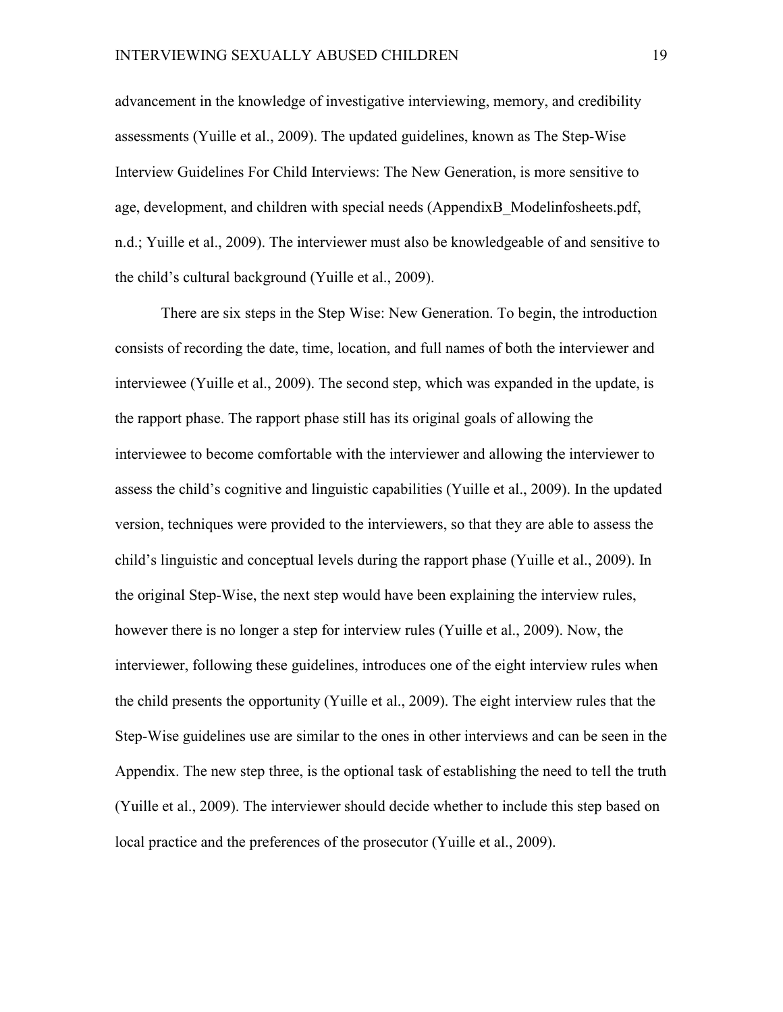advancement in the knowledge of investigative interviewing, memory, and credibility assessments (Yuille et al., 2009). The updated guidelines, known as The Step-Wise Interview Guidelines For Child Interviews: The New Generation, is more sensitive to age, development, and children with special needs (AppendixB\_Modelinfosheets.pdf, n.d.; Yuille et al., 2009). The interviewer must also be knowledgeable of and sensitive to the child's cultural background (Yuille et al., 2009).

There are six steps in the Step Wise: New Generation. To begin, the introduction consists of recording the date, time, location, and full names of both the interviewer and interviewee (Yuille et al., 2009). The second step, which was expanded in the update, is the rapport phase. The rapport phase still has its original goals of allowing the interviewee to become comfortable with the interviewer and allowing the interviewer to assess the child's cognitive and linguistic capabilities (Yuille et al., 2009). In the updated version, techniques were provided to the interviewers, so that they are able to assess the child's linguistic and conceptual levels during the rapport phase (Yuille et al., 2009). In the original Step-Wise, the next step would have been explaining the interview rules, however there is no longer a step for interview rules (Yuille et al., 2009). Now, the interviewer, following these guidelines, introduces one of the eight interview rules when the child presents the opportunity (Yuille et al., 2009). The eight interview rules that the Step-Wise guidelines use are similar to the ones in other interviews and can be seen in the Appendix. The new step three, is the optional task of establishing the need to tell the truth (Yuille et al., 2009). The interviewer should decide whether to include this step based on local practice and the preferences of the prosecutor (Yuille et al., 2009).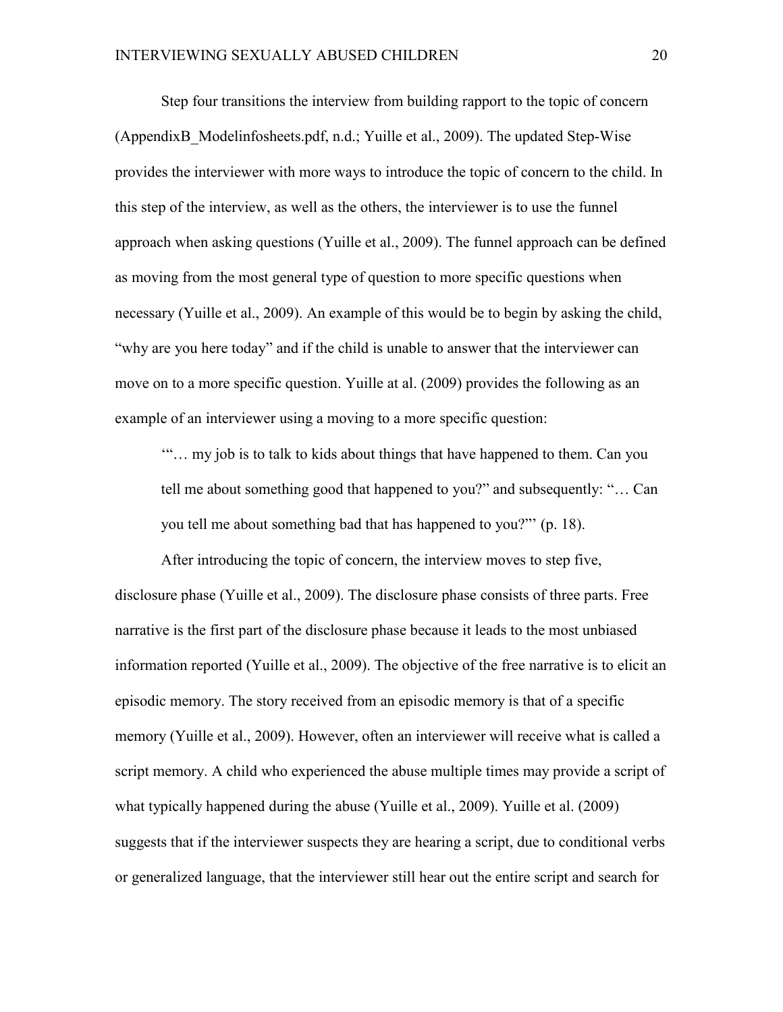Step four transitions the interview from building rapport to the topic of concern (AppendixB\_Modelinfosheets.pdf, n.d.; Yuille et al., 2009). The updated Step-Wise provides the interviewer with more ways to introduce the topic of concern to the child. In this step of the interview, as well as the others, the interviewer is to use the funnel approach when asking questions (Yuille et al., 2009). The funnel approach can be defined as moving from the most general type of question to more specific questions when necessary (Yuille et al., 2009). An example of this would be to begin by asking the child, "why are you here today" and if the child is unable to answer that the interviewer can move on to a more specific question. Yuille at al. (2009) provides the following as an example of an interviewer using a moving to a more specific question:

'"… my job is to talk to kids about things that have happened to them. Can you tell me about something good that happened to you?" and subsequently: "… Can you tell me about something bad that has happened to you?"' (p. 18).

After introducing the topic of concern, the interview moves to step five, disclosure phase (Yuille et al., 2009). The disclosure phase consists of three parts. Free narrative is the first part of the disclosure phase because it leads to the most unbiased information reported (Yuille et al., 2009). The objective of the free narrative is to elicit an episodic memory. The story received from an episodic memory is that of a specific memory (Yuille et al., 2009). However, often an interviewer will receive what is called a script memory. A child who experienced the abuse multiple times may provide a script of what typically happened during the abuse (Yuille et al., 2009). Yuille et al. (2009) suggests that if the interviewer suspects they are hearing a script, due to conditional verbs or generalized language, that the interviewer still hear out the entire script and search for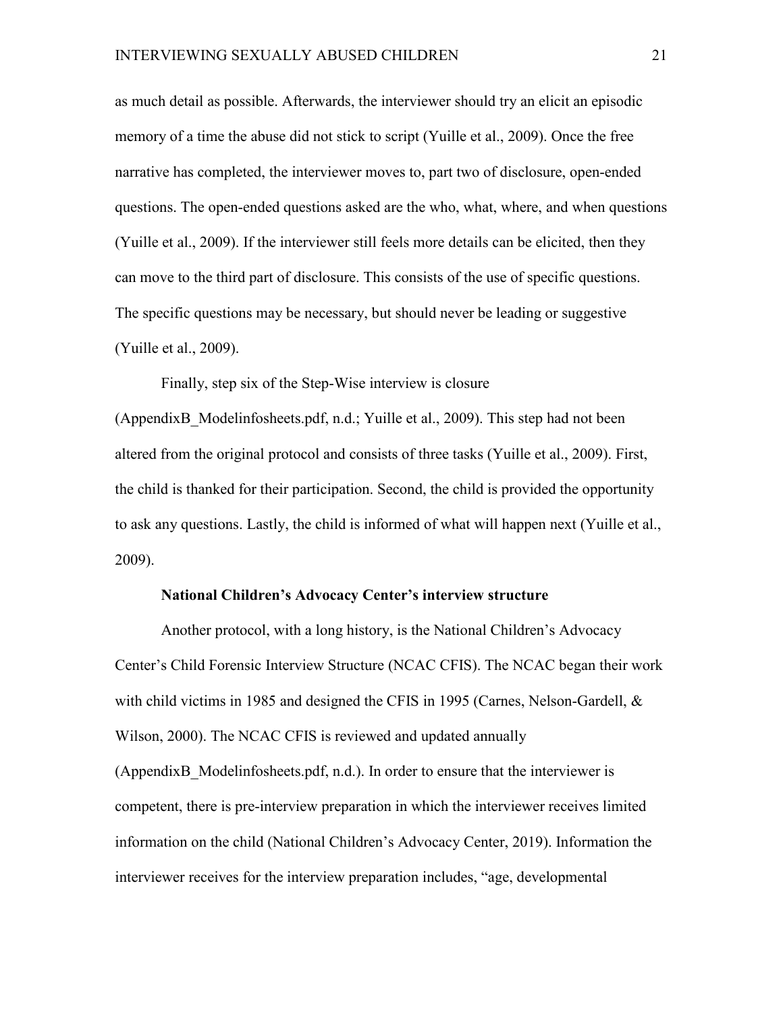as much detail as possible. Afterwards, the interviewer should try an elicit an episodic memory of a time the abuse did not stick to script (Yuille et al., 2009). Once the free narrative has completed, the interviewer moves to, part two of disclosure, open-ended questions. The open-ended questions asked are the who, what, where, and when questions (Yuille et al., 2009). If the interviewer still feels more details can be elicited, then they can move to the third part of disclosure. This consists of the use of specific questions. The specific questions may be necessary, but should never be leading or suggestive (Yuille et al., 2009).

Finally, step six of the Step-Wise interview is closure

(AppendixB\_Modelinfosheets.pdf, n.d.; Yuille et al., 2009). This step had not been altered from the original protocol and consists of three tasks (Yuille et al., 2009). First, the child is thanked for their participation. Second, the child is provided the opportunity to ask any questions. Lastly, the child is informed of what will happen next (Yuille et al., 2009).

#### **National Children's Advocacy Center's interview structure**

Another protocol, with a long history, is the National Children's Advocacy Center's Child Forensic Interview Structure (NCAC CFIS). The NCAC began their work with child victims in 1985 and designed the CFIS in 1995 (Carnes, Nelson-Gardell, & Wilson, 2000). The NCAC CFIS is reviewed and updated annually (AppendixB\_Modelinfosheets.pdf, n.d.). In order to ensure that the interviewer is competent, there is pre-interview preparation in which the interviewer receives limited information on the child (National Children's Advocacy Center, 2019). Information the interviewer receives for the interview preparation includes, "age, developmental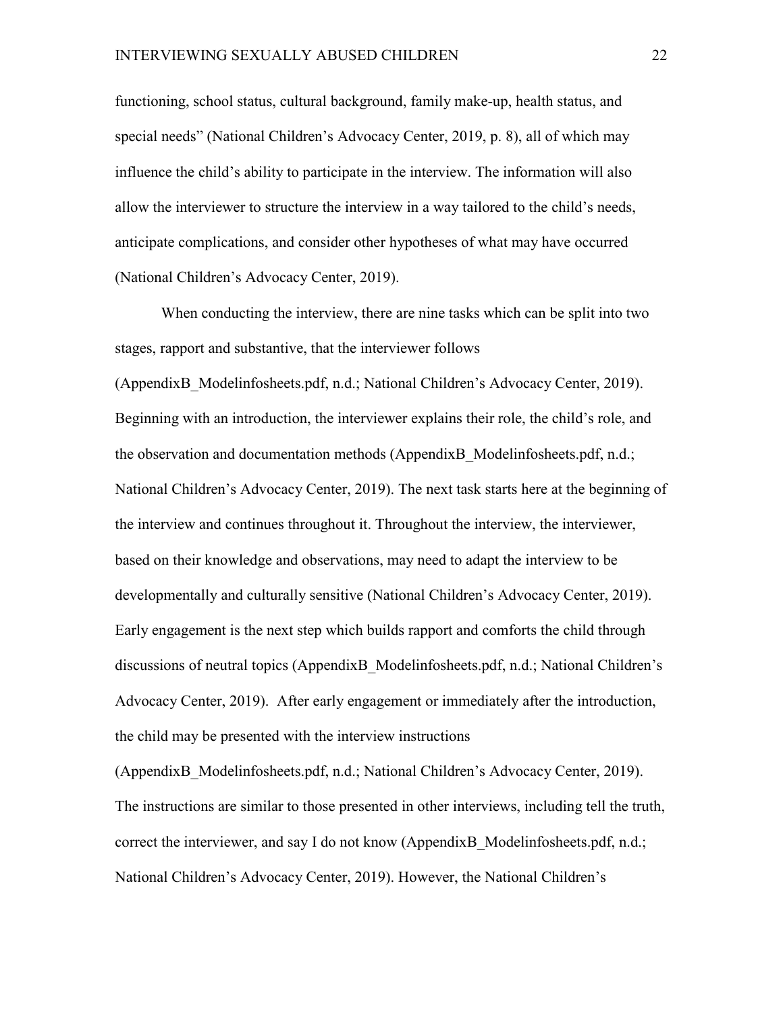functioning, school status, cultural background, family make-up, health status, and special needs" (National Children's Advocacy Center, 2019, p. 8), all of which may influence the child's ability to participate in the interview. The information will also allow the interviewer to structure the interview in a way tailored to the child's needs, anticipate complications, and consider other hypotheses of what may have occurred (National Children's Advocacy Center, 2019).

When conducting the interview, there are nine tasks which can be split into two stages, rapport and substantive, that the interviewer follows (AppendixB\_Modelinfosheets.pdf, n.d.; National Children's Advocacy Center, 2019). Beginning with an introduction, the interviewer explains their role, the child's role, and the observation and documentation methods (AppendixB\_Modelinfosheets.pdf, n.d.; National Children's Advocacy Center, 2019). The next task starts here at the beginning of the interview and continues throughout it. Throughout the interview, the interviewer, based on their knowledge and observations, may need to adapt the interview to be developmentally and culturally sensitive (National Children's Advocacy Center, 2019). Early engagement is the next step which builds rapport and comforts the child through discussions of neutral topics (AppendixB\_Modelinfosheets.pdf, n.d.; National Children's Advocacy Center, 2019). After early engagement or immediately after the introduction, the child may be presented with the interview instructions

(AppendixB\_Modelinfosheets.pdf, n.d.; National Children's Advocacy Center, 2019). The instructions are similar to those presented in other interviews, including tell the truth, correct the interviewer, and say I do not know (AppendixB\_Modelinfosheets.pdf, n.d.; National Children's Advocacy Center, 2019). However, the National Children's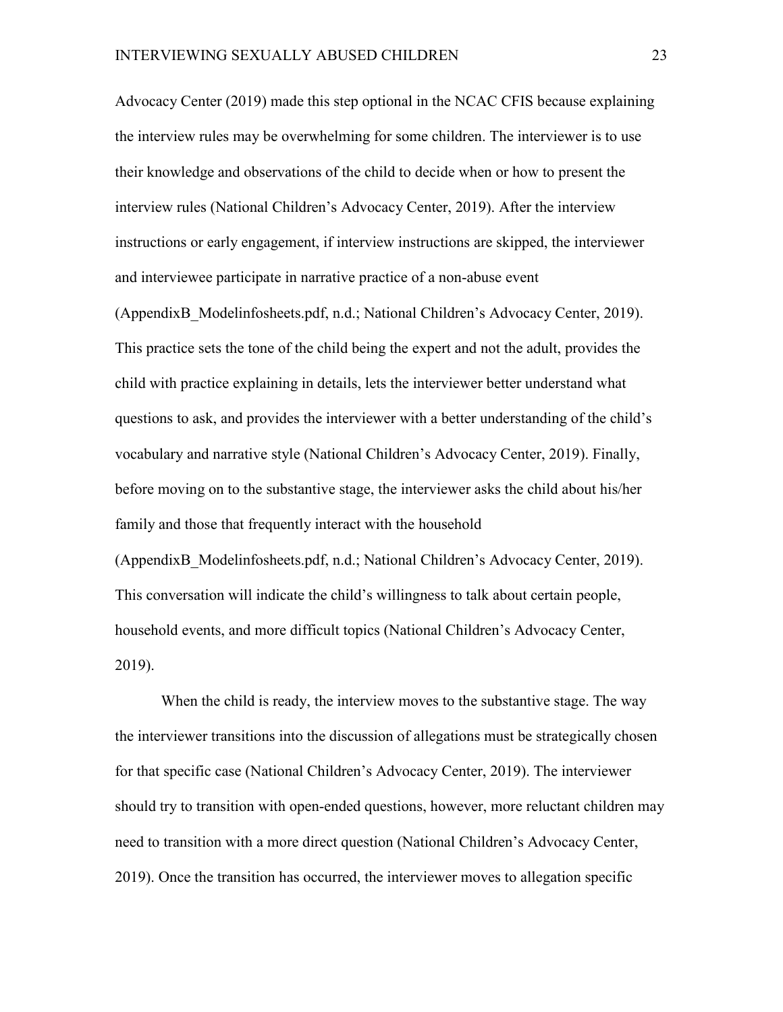Advocacy Center (2019) made this step optional in the NCAC CFIS because explaining the interview rules may be overwhelming for some children. The interviewer is to use their knowledge and observations of the child to decide when or how to present the interview rules (National Children's Advocacy Center, 2019). After the interview instructions or early engagement, if interview instructions are skipped, the interviewer and interviewee participate in narrative practice of a non-abuse event

(AppendixB\_Modelinfosheets.pdf, n.d.; National Children's Advocacy Center, 2019). This practice sets the tone of the child being the expert and not the adult, provides the child with practice explaining in details, lets the interviewer better understand what questions to ask, and provides the interviewer with a better understanding of the child's vocabulary and narrative style (National Children's Advocacy Center, 2019). Finally, before moving on to the substantive stage, the interviewer asks the child about his/her family and those that frequently interact with the household (AppendixB\_Modelinfosheets.pdf, n.d.; National Children's Advocacy Center, 2019). This conversation will indicate the child's willingness to talk about certain people, household events, and more difficult topics (National Children's Advocacy Center, 2019).

When the child is ready, the interview moves to the substantive stage. The way the interviewer transitions into the discussion of allegations must be strategically chosen for that specific case (National Children's Advocacy Center, 2019). The interviewer should try to transition with open-ended questions, however, more reluctant children may need to transition with a more direct question (National Children's Advocacy Center, 2019). Once the transition has occurred, the interviewer moves to allegation specific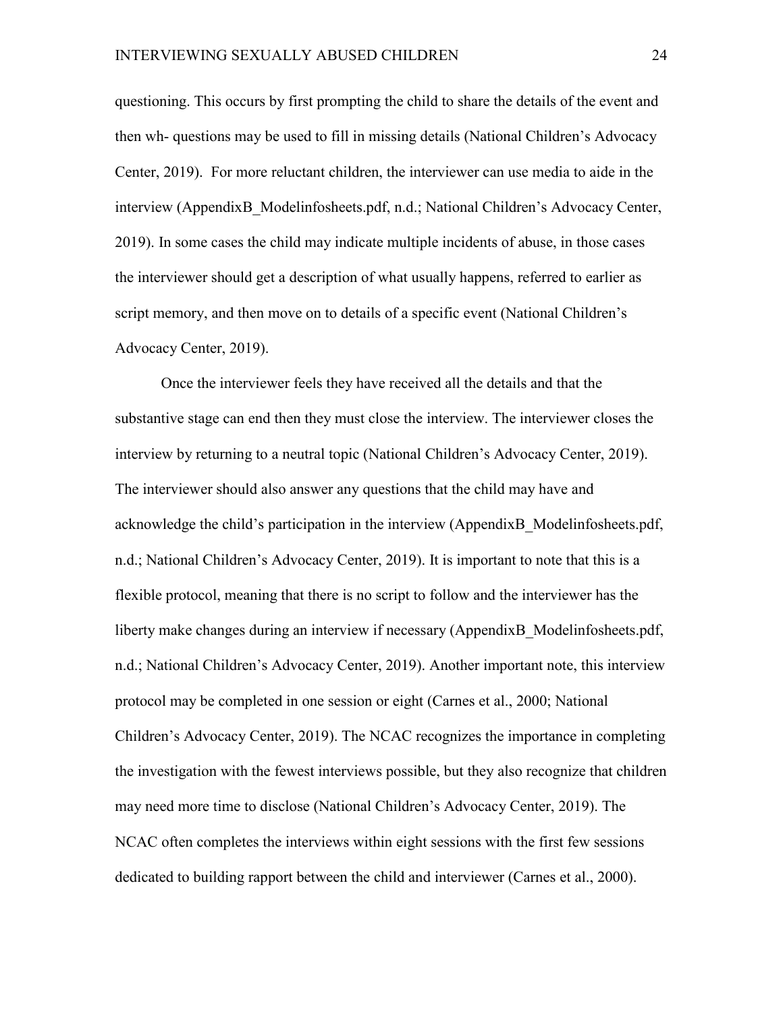questioning. This occurs by first prompting the child to share the details of the event and then wh- questions may be used to fill in missing details (National Children's Advocacy Center, 2019). For more reluctant children, the interviewer can use media to aide in the interview (AppendixB\_Modelinfosheets.pdf, n.d.; National Children's Advocacy Center, 2019). In some cases the child may indicate multiple incidents of abuse, in those cases the interviewer should get a description of what usually happens, referred to earlier as script memory, and then move on to details of a specific event (National Children's Advocacy Center, 2019).

Once the interviewer feels they have received all the details and that the substantive stage can end then they must close the interview. The interviewer closes the interview by returning to a neutral topic (National Children's Advocacy Center, 2019). The interviewer should also answer any questions that the child may have and acknowledge the child's participation in the interview (AppendixB\_Modelinfosheets.pdf, n.d.; National Children's Advocacy Center, 2019). It is important to note that this is a flexible protocol, meaning that there is no script to follow and the interviewer has the liberty make changes during an interview if necessary (AppendixB\_Modelinfosheets.pdf, n.d.; National Children's Advocacy Center, 2019). Another important note, this interview protocol may be completed in one session or eight (Carnes et al., 2000; National Children's Advocacy Center, 2019). The NCAC recognizes the importance in completing the investigation with the fewest interviews possible, but they also recognize that children may need more time to disclose (National Children's Advocacy Center, 2019). The NCAC often completes the interviews within eight sessions with the first few sessions dedicated to building rapport between the child and interviewer (Carnes et al., 2000).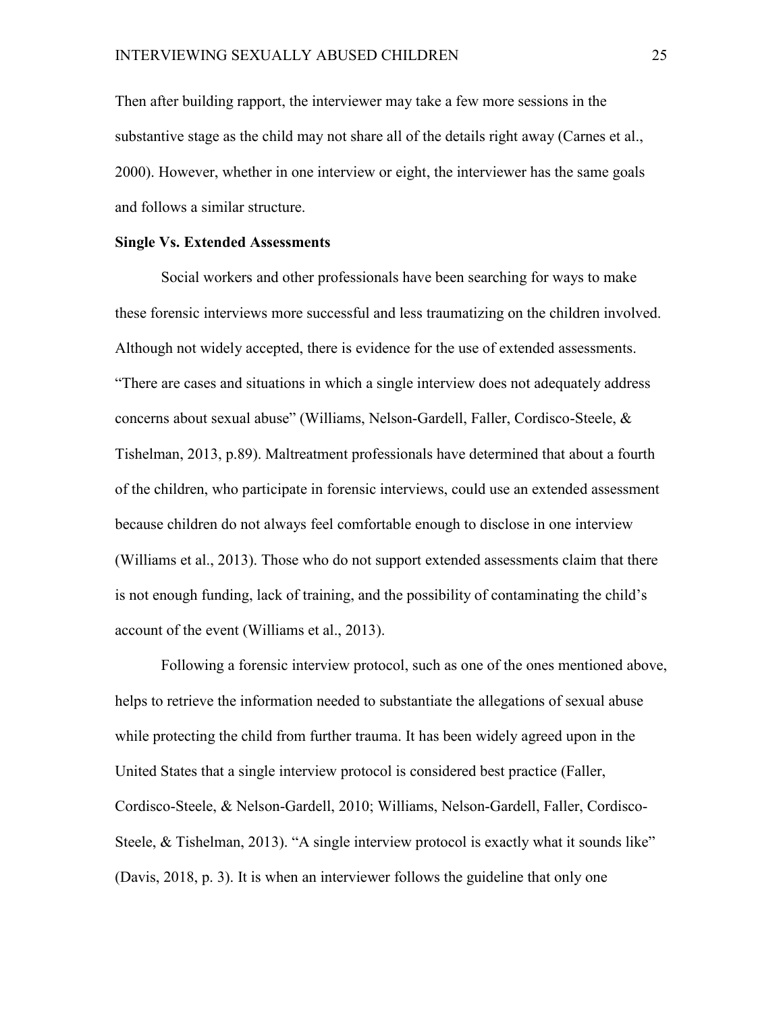Then after building rapport, the interviewer may take a few more sessions in the substantive stage as the child may not share all of the details right away (Carnes et al., 2000). However, whether in one interview or eight, the interviewer has the same goals and follows a similar structure.

#### **Single Vs. Extended Assessments**

Social workers and other professionals have been searching for ways to make these forensic interviews more successful and less traumatizing on the children involved. Although not widely accepted, there is evidence for the use of extended assessments. "There are cases and situations in which a single interview does not adequately address concerns about sexual abuse" (Williams, Nelson-Gardell, Faller, Cordisco-Steele, & Tishelman, 2013, p.89). Maltreatment professionals have determined that about a fourth of the children, who participate in forensic interviews, could use an extended assessment because children do not always feel comfortable enough to disclose in one interview (Williams et al., 2013). Those who do not support extended assessments claim that there is not enough funding, lack of training, and the possibility of contaminating the child's account of the event (Williams et al., 2013).

Following a forensic interview protocol, such as one of the ones mentioned above, helps to retrieve the information needed to substantiate the allegations of sexual abuse while protecting the child from further trauma. It has been widely agreed upon in the United States that a single interview protocol is considered best practice (Faller, Cordisco-Steele, & Nelson-Gardell, 2010; Williams, Nelson-Gardell, Faller, Cordisco-Steele, & Tishelman, 2013). "A single interview protocol is exactly what it sounds like" (Davis, 2018, p. 3). It is when an interviewer follows the guideline that only one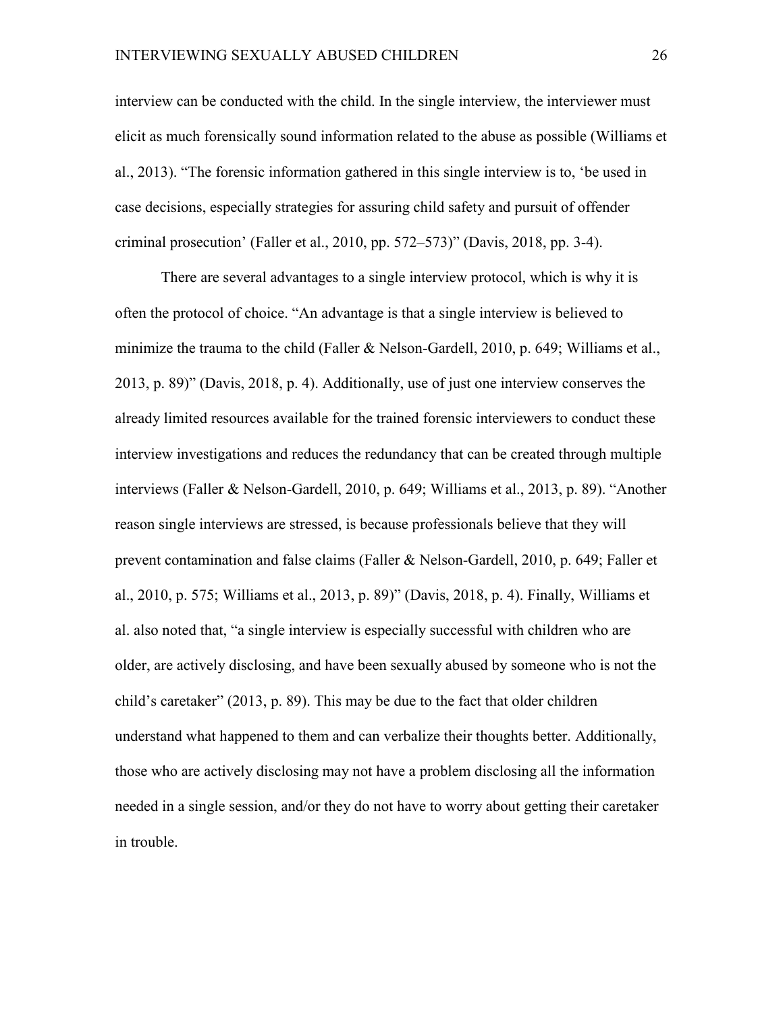interview can be conducted with the child. In the single interview, the interviewer must elicit as much forensically sound information related to the abuse as possible (Williams et al., 2013). "The forensic information gathered in this single interview is to, 'be used in case decisions, especially strategies for assuring child safety and pursuit of offender criminal prosecution' (Faller et al., 2010, pp.  $572-573$ )" (Davis, 2018, pp. 3-4).

There are several advantages to a single interview protocol, which is why it is often the protocol of choice. "An advantage is that a single interview is believed to minimize the trauma to the child (Faller & Nelson-Gardell, 2010, p. 649; Williams et al., 2013, p. 89)" (Davis, 2018, p. 4). Additionally, use of just one interview conserves the already limited resources available for the trained forensic interviewers to conduct these interview investigations and reduces the redundancy that can be created through multiple interviews (Faller & Nelson-Gardell, 2010, p. 649; Williams et al., 2013, p. 89). "Another reason single interviews are stressed, is because professionals believe that they will prevent contamination and false claims (Faller & Nelson-Gardell, 2010, p. 649; Faller et al., 2010, p. 575; Williams et al., 2013, p. 89)" (Davis, 2018, p. 4). Finally, Williams et al. also noted that, "a single interview is especially successful with children who are older, are actively disclosing, and have been sexually abused by someone who is not the child's caretaker" (2013, p. 89). This may be due to the fact that older children understand what happened to them and can verbalize their thoughts better. Additionally, those who are actively disclosing may not have a problem disclosing all the information needed in a single session, and/or they do not have to worry about getting their caretaker in trouble.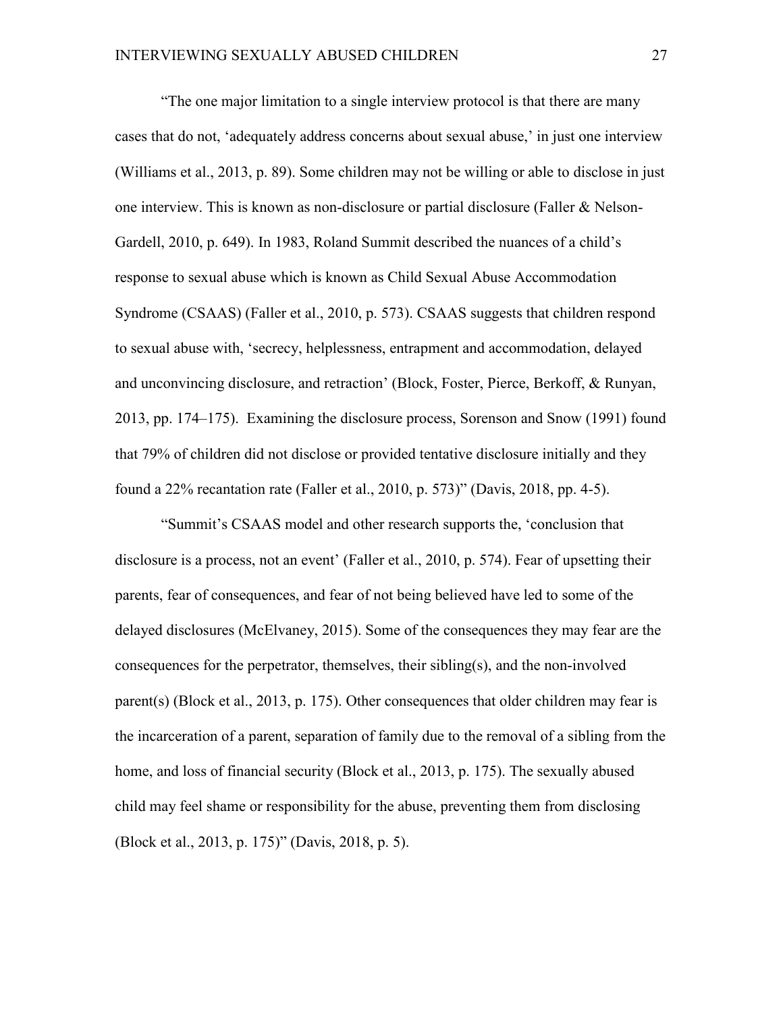"The one major limitation to a single interview protocol is that there are many cases that do not, 'adequately address concerns about sexual abuse,' in just one interview (Williams et al., 2013, p. 89). Some children may not be willing or able to disclose in just one interview. This is known as non-disclosure or partial disclosure (Faller & Nelson-Gardell, 2010, p. 649). In 1983, Roland Summit described the nuances of a child's response to sexual abuse which is known as Child Sexual Abuse Accommodation Syndrome (CSAAS) (Faller et al., 2010, p. 573). CSAAS suggests that children respond to sexual abuse with, 'secrecy, helplessness, entrapment and accommodation, delayed and unconvincing disclosure, and retraction' (Block, Foster, Pierce, Berkoff, & Runyan, 2013, pp. 174–175). Examining the disclosure process, Sorenson and Snow (1991) found that 79% of children did not disclose or provided tentative disclosure initially and they found a 22% recantation rate (Faller et al., 2010, p. 573)" (Davis, 2018, pp. 4-5).

"Summit's CSAAS model and other research supports the, 'conclusion that disclosure is a process, not an event' (Faller et al., 2010, p. 574). Fear of upsetting their parents, fear of consequences, and fear of not being believed have led to some of the delayed disclosures (McElvaney, 2015). Some of the consequences they may fear are the consequences for the perpetrator, themselves, their sibling(s), and the non-involved parent(s) (Block et al., 2013, p. 175). Other consequences that older children may fear is the incarceration of a parent, separation of family due to the removal of a sibling from the home, and loss of financial security (Block et al., 2013, p. 175). The sexually abused child may feel shame or responsibility for the abuse, preventing them from disclosing (Block et al., 2013, p. 175)" (Davis, 2018, p. 5).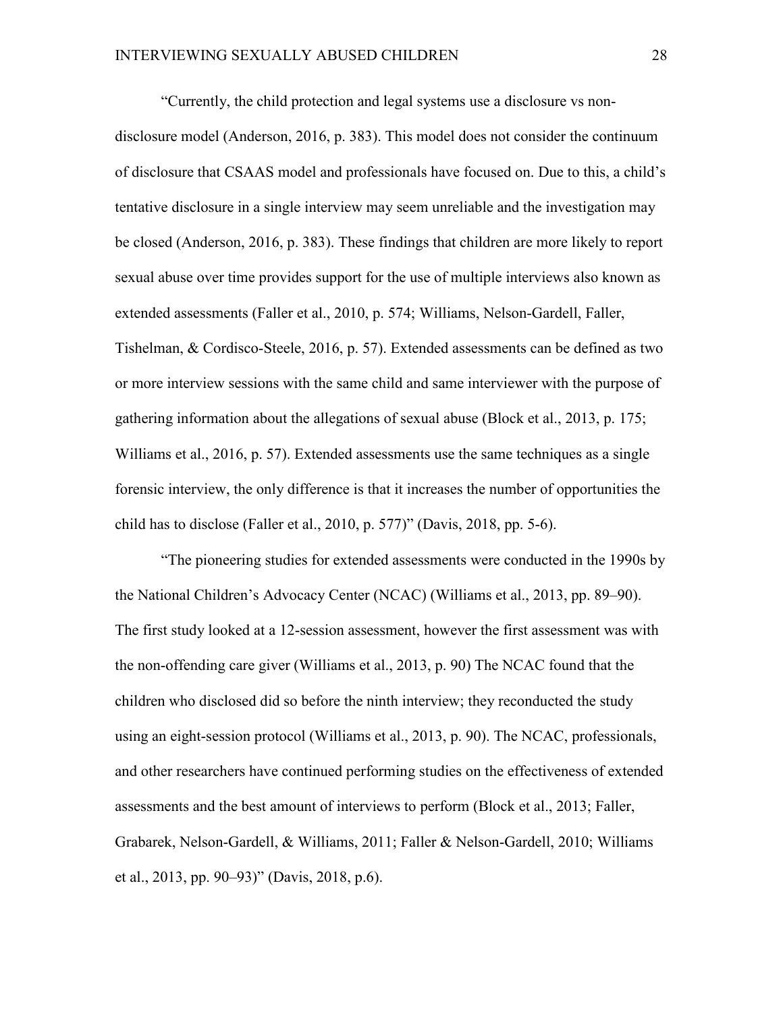"Currently, the child protection and legal systems use a disclosure vs nondisclosure model (Anderson, 2016, p. 383). This model does not consider the continuum of disclosure that CSAAS model and professionals have focused on. Due to this, a child's tentative disclosure in a single interview may seem unreliable and the investigation may be closed (Anderson, 2016, p. 383). These findings that children are more likely to report sexual abuse over time provides support for the use of multiple interviews also known as extended assessments (Faller et al., 2010, p. 574; Williams, Nelson-Gardell, Faller, Tishelman, & Cordisco-Steele, 2016, p. 57). Extended assessments can be defined as two or more interview sessions with the same child and same interviewer with the purpose of gathering information about the allegations of sexual abuse (Block et al., 2013, p. 175; Williams et al., 2016, p. 57). Extended assessments use the same techniques as a single forensic interview, the only difference is that it increases the number of opportunities the child has to disclose (Faller et al., 2010, p. 577)" (Davis, 2018, pp. 5-6).

"The pioneering studies for extended assessments were conducted in the 1990s by the National Children's Advocacy Center (NCAC) (Williams et al., 2013, pp. 89–90). The first study looked at a 12-session assessment, however the first assessment was with the non-offending care giver (Williams et al., 2013, p. 90) The NCAC found that the children who disclosed did so before the ninth interview; they reconducted the study using an eight-session protocol (Williams et al., 2013, p. 90). The NCAC, professionals, and other researchers have continued performing studies on the effectiveness of extended assessments and the best amount of interviews to perform (Block et al., 2013; Faller, Grabarek, Nelson-Gardell, & Williams, 2011; Faller & Nelson-Gardell, 2010; Williams et al., 2013, pp. 90–93)" (Davis, 2018, p.6).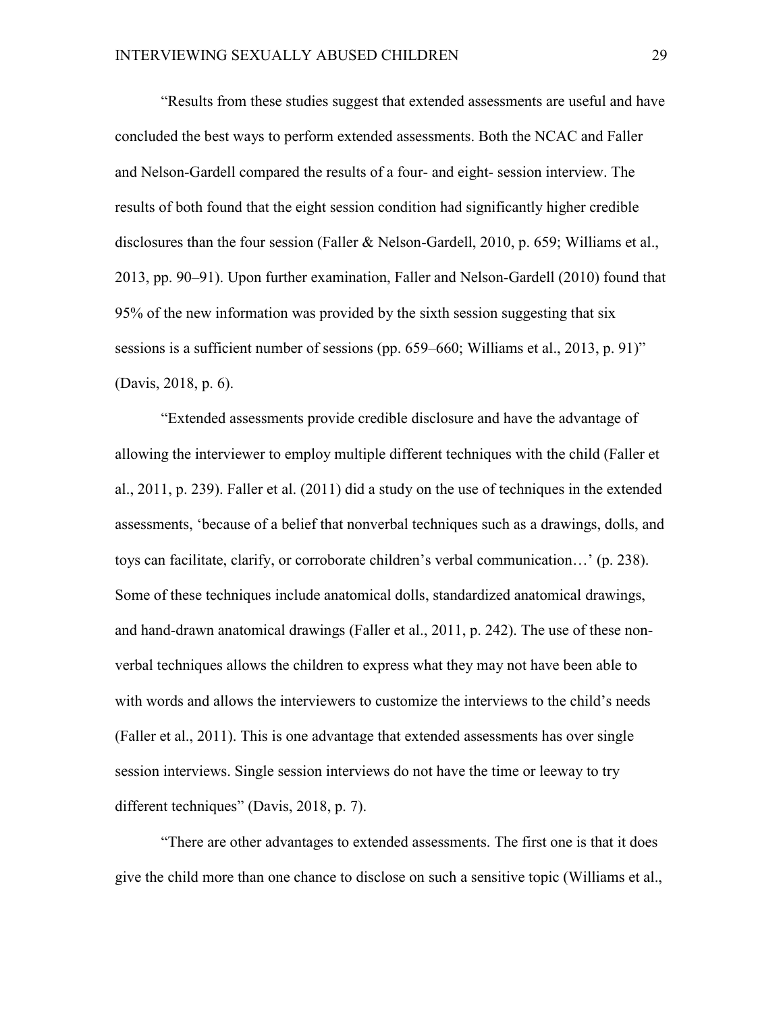"Results from these studies suggest that extended assessments are useful and have concluded the best ways to perform extended assessments. Both the NCAC and Faller and Nelson-Gardell compared the results of a four- and eight- session interview. The results of both found that the eight session condition had significantly higher credible disclosures than the four session (Faller & Nelson-Gardell, 2010, p. 659; Williams et al., 2013, pp. 90–91). Upon further examination, Faller and Nelson-Gardell (2010) found that 95% of the new information was provided by the sixth session suggesting that six sessions is a sufficient number of sessions (pp. 659–660; Williams et al., 2013, p. 91)" (Davis, 2018, p. 6).

"Extended assessments provide credible disclosure and have the advantage of allowing the interviewer to employ multiple different techniques with the child (Faller et al., 2011, p. 239). Faller et al. (2011) did a study on the use of techniques in the extended assessments, 'because of a belief that nonverbal techniques such as a drawings, dolls, and toys can facilitate, clarify, or corroborate children's verbal communication…' (p. 238). Some of these techniques include anatomical dolls, standardized anatomical drawings, and hand-drawn anatomical drawings (Faller et al., 2011, p. 242). The use of these nonverbal techniques allows the children to express what they may not have been able to with words and allows the interviewers to customize the interviews to the child's needs (Faller et al., 2011). This is one advantage that extended assessments has over single session interviews. Single session interviews do not have the time or leeway to try different techniques" (Davis, 2018, p. 7).

"There are other advantages to extended assessments. The first one is that it does give the child more than one chance to disclose on such a sensitive topic (Williams et al.,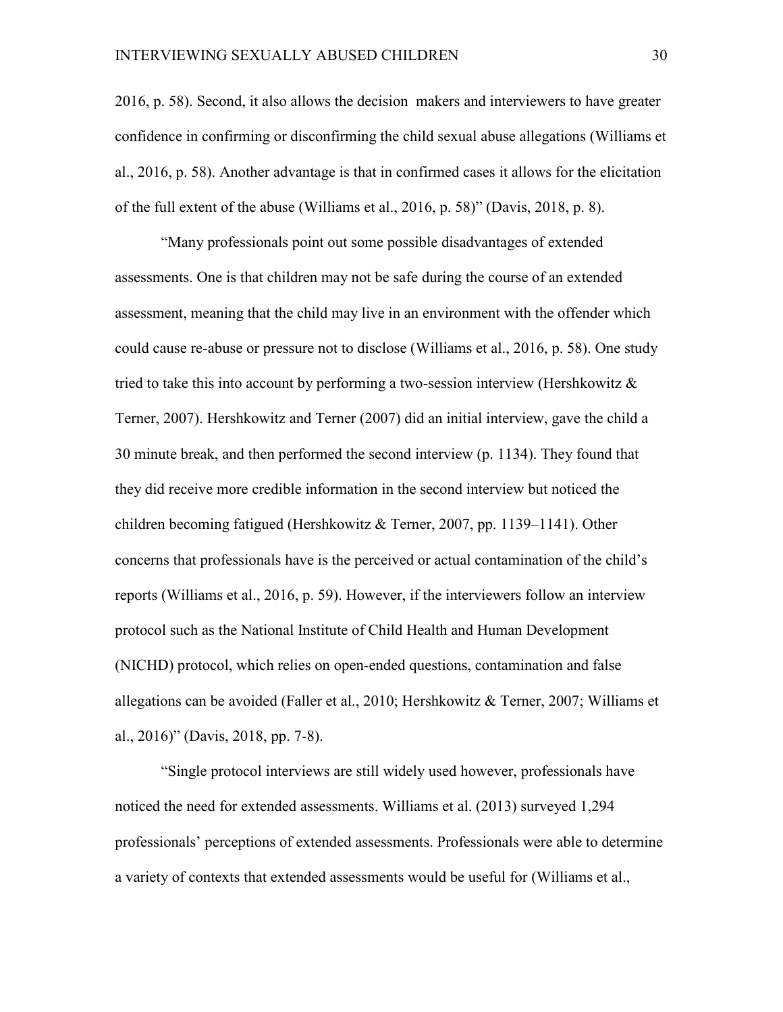2016, p. 58). Second, it also allows the decision makers and interviewers to have greater confidence in confirming or disconfirming the child sexual abuse allegations (Williams et al., 2016, p. 58). Another advantage is that in confirmed cases it allows for the elicitation of the full extent of the abuse (Williams et al., 2016, p. 58)" (Davis, 2018, p. 8).

"Many professionals point out some possible disadvantages of extended assessments. One is that children may not be safe during the course of an extended assessment, meaning that the child may live in an environment with the offender which could cause re-abuse or pressure not to disclose (Williams et al., 2016, p. 58). One study tried to take this into account by performing a two-session interview (Hershkowitz & Terner, 2007). Hershkowitz and Terner (2007) did an initial interview, gave the child a 30 minute break, and then performed the second interview (p. 1134). They found that they did receive more credible information in the second interview but noticed the children becoming fatigued (Hershkowitz & Terner, 2007, pp. 1139–1141). Other concerns that professionals have is the perceived or actual contamination of the child's reports (Williams et al., 2016, p. 59). However, if the interviewers follow an interview protocol such as the National Institute of Child Health and Human Development (NICHD) protocol, which relies on open-ended questions, contamination and false allegations can be avoided (Faller et al., 2010; Hershkowitz & Terner, 2007; Williams et al., 2016)" (Davis, 2018, pp. 7-8).

"Single protocol interviews are still widely used however, professionals have noticed the need for extended assessments. Williams et al. (2013) surveyed 1,294 professionals' perceptions of extended assessments. Professionals were able to determine a variety of contexts that extended assessments would be useful for (Williams et al.,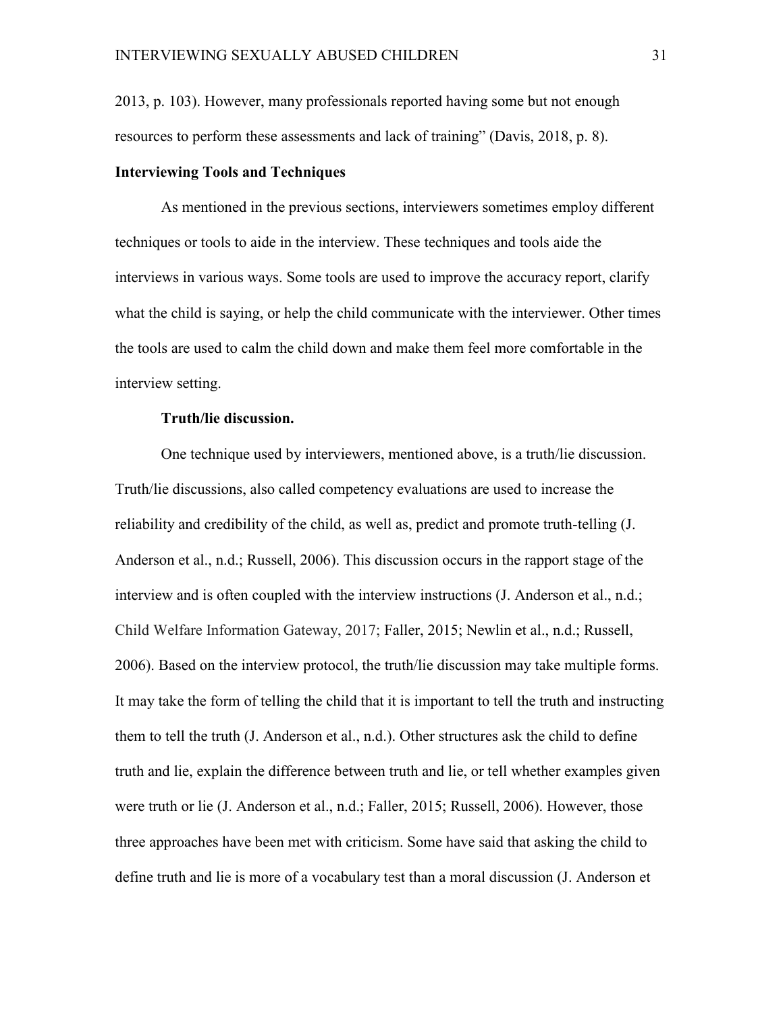2013, p. 103). However, many professionals reported having some but not enough resources to perform these assessments and lack of training" (Davis, 2018, p. 8).

#### **Interviewing Tools and Techniques**

As mentioned in the previous sections, interviewers sometimes employ different techniques or tools to aide in the interview. These techniques and tools aide the interviews in various ways. Some tools are used to improve the accuracy report, clarify what the child is saying, or help the child communicate with the interviewer. Other times the tools are used to calm the child down and make them feel more comfortable in the interview setting.

#### **Truth/lie discussion.**

One technique used by interviewers, mentioned above, is a truth/lie discussion. Truth/lie discussions, also called competency evaluations are used to increase the reliability and credibility of the child, as well as, predict and promote truth-telling (J. Anderson et al., n.d.; Russell, 2006). This discussion occurs in the rapport stage of the interview and is often coupled with the interview instructions (J. Anderson et al., n.d.; Child Welfare Information Gateway, 2017; Faller, 2015; Newlin et al., n.d.; Russell, 2006). Based on the interview protocol, the truth/lie discussion may take multiple forms. It may take the form of telling the child that it is important to tell the truth and instructing them to tell the truth (J. Anderson et al., n.d.). Other structures ask the child to define truth and lie, explain the difference between truth and lie, or tell whether examples given were truth or lie (J. Anderson et al., n.d.; Faller, 2015; Russell, 2006). However, those three approaches have been met with criticism. Some have said that asking the child to define truth and lie is more of a vocabulary test than a moral discussion (J. Anderson et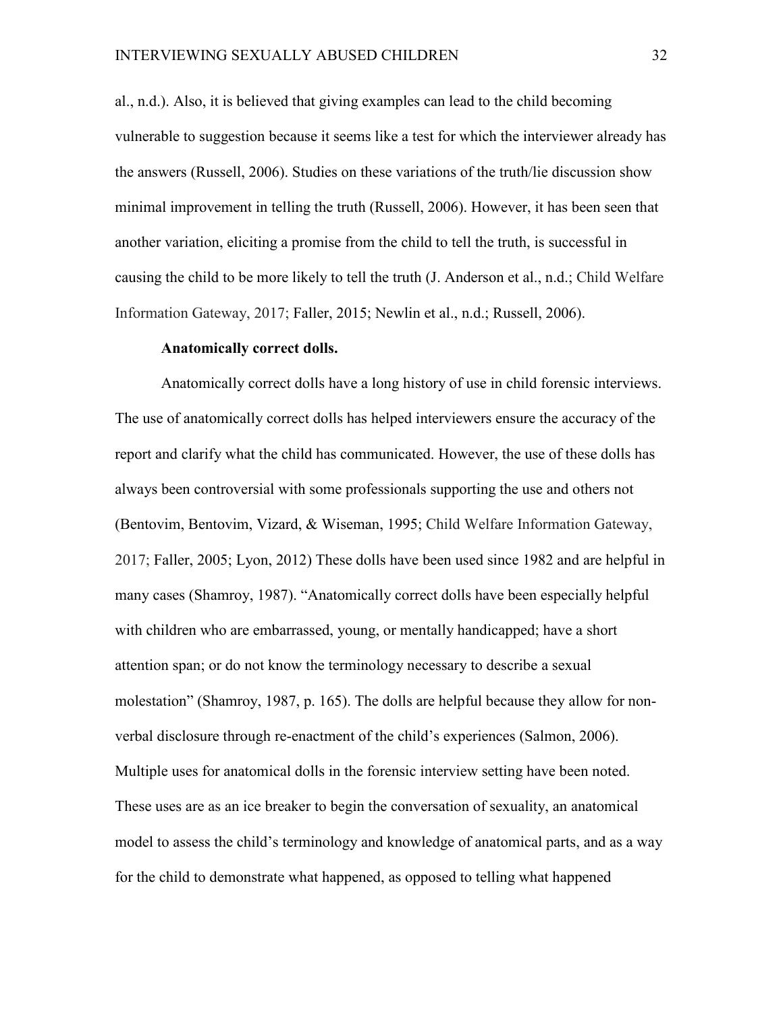al., n.d.). Also, it is believed that giving examples can lead to the child becoming vulnerable to suggestion because it seems like a test for which the interviewer already has the answers (Russell, 2006). Studies on these variations of the truth/lie discussion show minimal improvement in telling the truth (Russell, 2006). However, it has been seen that another variation, eliciting a promise from the child to tell the truth, is successful in causing the child to be more likely to tell the truth (J. Anderson et al., n.d.; Child Welfare Information Gateway, 2017; Faller, 2015; Newlin et al., n.d.; Russell, 2006).

#### **Anatomically correct dolls.**

Anatomically correct dolls have a long history of use in child forensic interviews. The use of anatomically correct dolls has helped interviewers ensure the accuracy of the report and clarify what the child has communicated. However, the use of these dolls has always been controversial with some professionals supporting the use and others not (Bentovim, Bentovim, Vizard, & Wiseman, 1995; Child Welfare Information Gateway, 2017; Faller, 2005; Lyon, 2012) These dolls have been used since 1982 and are helpful in many cases (Shamroy, 1987). "Anatomically correct dolls have been especially helpful with children who are embarrassed, young, or mentally handicapped; have a short attention span; or do not know the terminology necessary to describe a sexual molestation" (Shamroy, 1987, p. 165). The dolls are helpful because they allow for nonverbal disclosure through re-enactment of the child's experiences (Salmon, 2006). Multiple uses for anatomical dolls in the forensic interview setting have been noted. These uses are as an ice breaker to begin the conversation of sexuality, an anatomical model to assess the child's terminology and knowledge of anatomical parts, and as a way for the child to demonstrate what happened, as opposed to telling what happened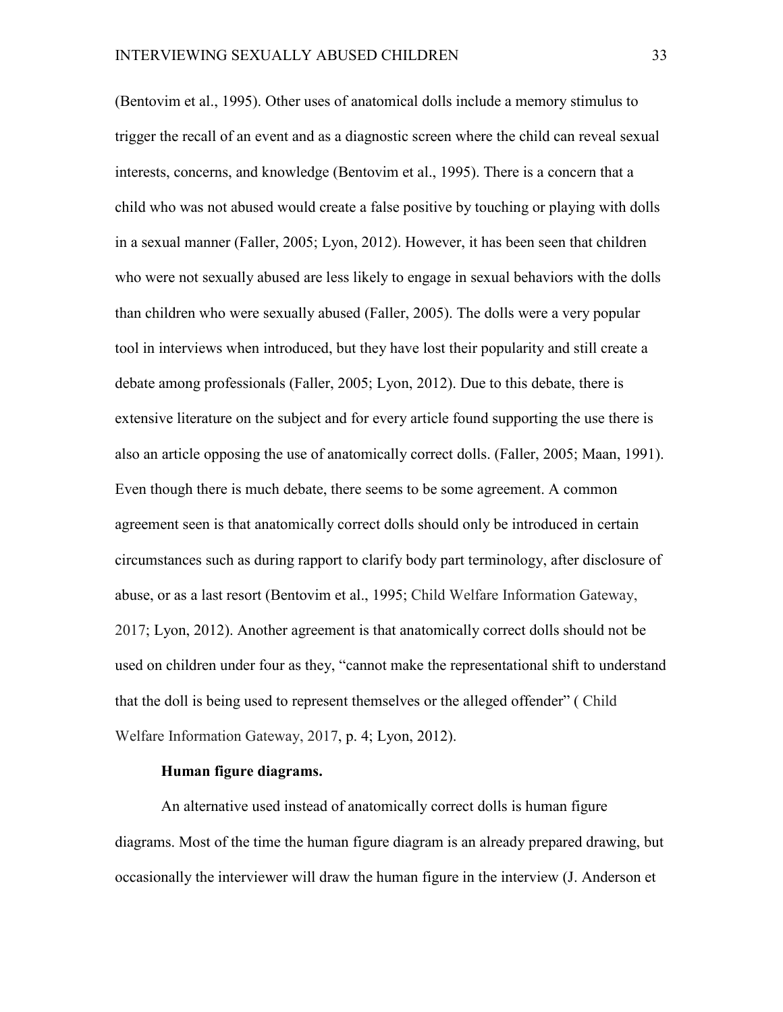(Bentovim et al., 1995). Other uses of anatomical dolls include a memory stimulus to trigger the recall of an event and as a diagnostic screen where the child can reveal sexual interests, concerns, and knowledge (Bentovim et al., 1995). There is a concern that a child who was not abused would create a false positive by touching or playing with dolls in a sexual manner (Faller, 2005; Lyon, 2012). However, it has been seen that children who were not sexually abused are less likely to engage in sexual behaviors with the dolls than children who were sexually abused (Faller, 2005). The dolls were a very popular tool in interviews when introduced, but they have lost their popularity and still create a debate among professionals (Faller, 2005; Lyon, 2012). Due to this debate, there is extensive literature on the subject and for every article found supporting the use there is also an article opposing the use of anatomically correct dolls. (Faller, 2005; Maan, 1991). Even though there is much debate, there seems to be some agreement. A common agreement seen is that anatomically correct dolls should only be introduced in certain circumstances such as during rapport to clarify body part terminology, after disclosure of abuse, or as a last resort (Bentovim et al., 1995; Child Welfare Information Gateway, 2017; Lyon, 2012). Another agreement is that anatomically correct dolls should not be used on children under four as they, "cannot make the representational shift to understand that the doll is being used to represent themselves or the alleged offender" ( Child Welfare Information Gateway, 2017, p. 4; Lyon, 2012).

#### **Human figure diagrams.**

An alternative used instead of anatomically correct dolls is human figure diagrams. Most of the time the human figure diagram is an already prepared drawing, but occasionally the interviewer will draw the human figure in the interview (J. Anderson et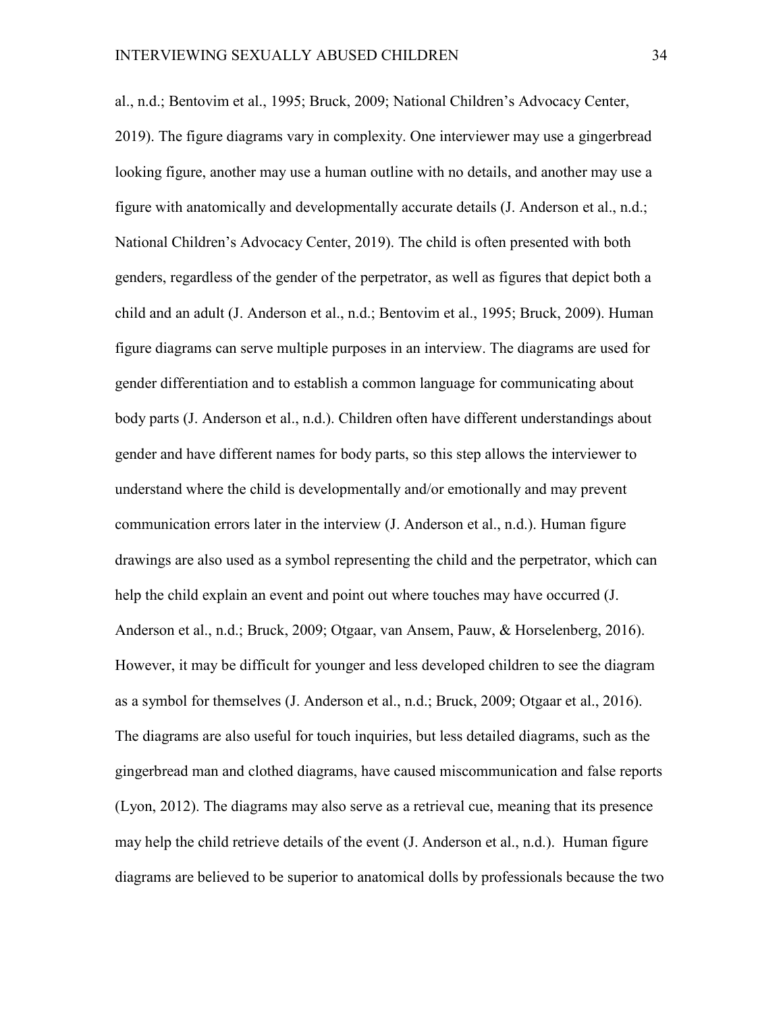al., n.d.; Bentovim et al., 1995; Bruck, 2009; National Children's Advocacy Center, 2019). The figure diagrams vary in complexity. One interviewer may use a gingerbread looking figure, another may use a human outline with no details, and another may use a figure with anatomically and developmentally accurate details (J. Anderson et al., n.d.; National Children's Advocacy Center, 2019). The child is often presented with both genders, regardless of the gender of the perpetrator, as well as figures that depict both a child and an adult (J. Anderson et al., n.d.; Bentovim et al., 1995; Bruck, 2009). Human figure diagrams can serve multiple purposes in an interview. The diagrams are used for gender differentiation and to establish a common language for communicating about body parts (J. Anderson et al., n.d.). Children often have different understandings about gender and have different names for body parts, so this step allows the interviewer to understand where the child is developmentally and/or emotionally and may prevent communication errors later in the interview (J. Anderson et al., n.d.). Human figure drawings are also used as a symbol representing the child and the perpetrator, which can help the child explain an event and point out where touches may have occurred (J. Anderson et al., n.d.; Bruck, 2009; Otgaar, van Ansem, Pauw, & Horselenberg, 2016). However, it may be difficult for younger and less developed children to see the diagram as a symbol for themselves (J. Anderson et al., n.d.; Bruck, 2009; Otgaar et al., 2016). The diagrams are also useful for touch inquiries, but less detailed diagrams, such as the gingerbread man and clothed diagrams, have caused miscommunication and false reports (Lyon, 2012). The diagrams may also serve as a retrieval cue, meaning that its presence may help the child retrieve details of the event (J. Anderson et al., n.d.). Human figure diagrams are believed to be superior to anatomical dolls by professionals because the two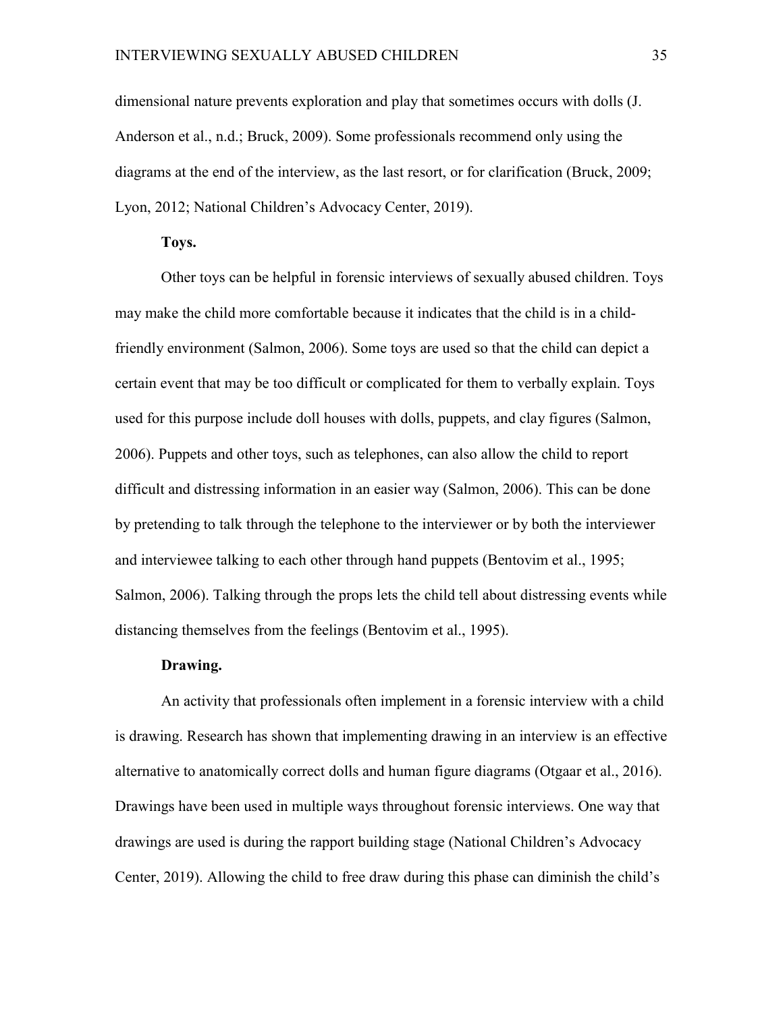dimensional nature prevents exploration and play that sometimes occurs with dolls (J. Anderson et al., n.d.; Bruck, 2009). Some professionals recommend only using the diagrams at the end of the interview, as the last resort, or for clarification (Bruck, 2009; Lyon, 2012; National Children's Advocacy Center, 2019).

#### **Toys.**

Other toys can be helpful in forensic interviews of sexually abused children. Toys may make the child more comfortable because it indicates that the child is in a childfriendly environment (Salmon, 2006). Some toys are used so that the child can depict a certain event that may be too difficult or complicated for them to verbally explain. Toys used for this purpose include doll houses with dolls, puppets, and clay figures (Salmon, 2006). Puppets and other toys, such as telephones, can also allow the child to report difficult and distressing information in an easier way (Salmon, 2006). This can be done by pretending to talk through the telephone to the interviewer or by both the interviewer and interviewee talking to each other through hand puppets (Bentovim et al., 1995; Salmon, 2006). Talking through the props lets the child tell about distressing events while distancing themselves from the feelings (Bentovim et al., 1995).

#### **Drawing.**

An activity that professionals often implement in a forensic interview with a child is drawing. Research has shown that implementing drawing in an interview is an effective alternative to anatomically correct dolls and human figure diagrams (Otgaar et al., 2016). Drawings have been used in multiple ways throughout forensic interviews. One way that drawings are used is during the rapport building stage (National Children's Advocacy Center, 2019). Allowing the child to free draw during this phase can diminish the child's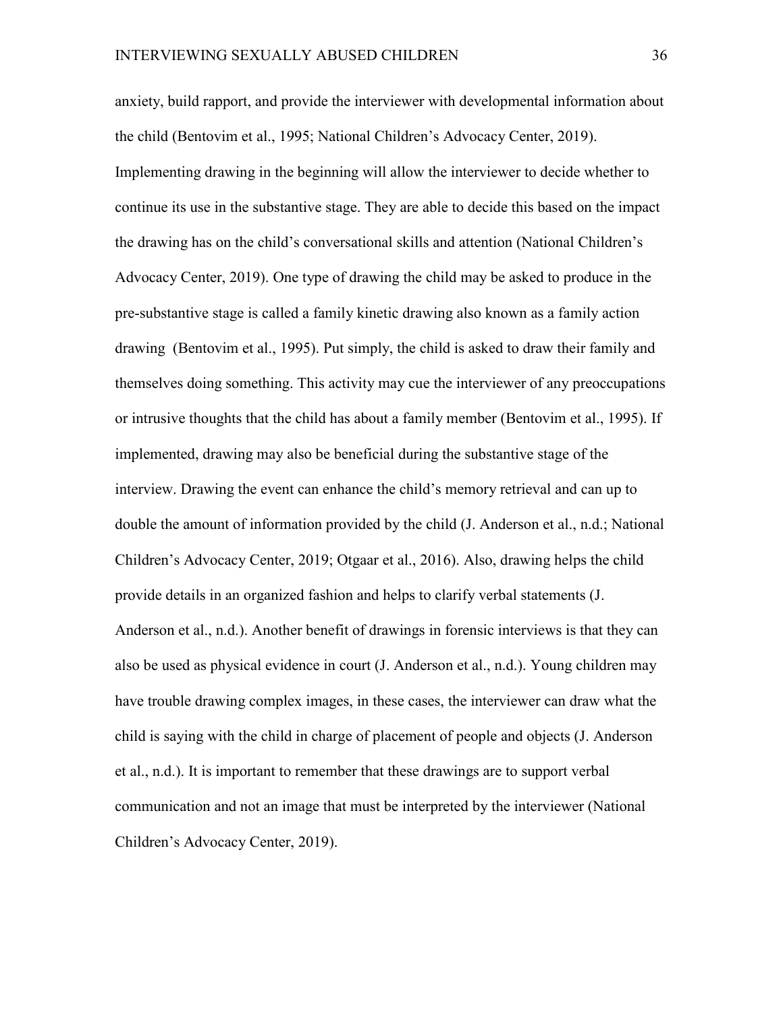anxiety, build rapport, and provide the interviewer with developmental information about the child (Bentovim et al., 1995; National Children's Advocacy Center, 2019). Implementing drawing in the beginning will allow the interviewer to decide whether to continue its use in the substantive stage. They are able to decide this based on the impact the drawing has on the child's conversational skills and attention (National Children's Advocacy Center, 2019). One type of drawing the child may be asked to produce in the pre-substantive stage is called a family kinetic drawing also known as a family action drawing (Bentovim et al., 1995). Put simply, the child is asked to draw their family and themselves doing something. This activity may cue the interviewer of any preoccupations or intrusive thoughts that the child has about a family member (Bentovim et al., 1995). If implemented, drawing may also be beneficial during the substantive stage of the interview. Drawing the event can enhance the child's memory retrieval and can up to double the amount of information provided by the child (J. Anderson et al., n.d.; National Children's Advocacy Center, 2019; Otgaar et al., 2016). Also, drawing helps the child provide details in an organized fashion and helps to clarify verbal statements (J. Anderson et al., n.d.). Another benefit of drawings in forensic interviews is that they can also be used as physical evidence in court (J. Anderson et al., n.d.). Young children may have trouble drawing complex images, in these cases, the interviewer can draw what the child is saying with the child in charge of placement of people and objects (J. Anderson et al., n.d.). It is important to remember that these drawings are to support verbal communication and not an image that must be interpreted by the interviewer (National Children's Advocacy Center, 2019).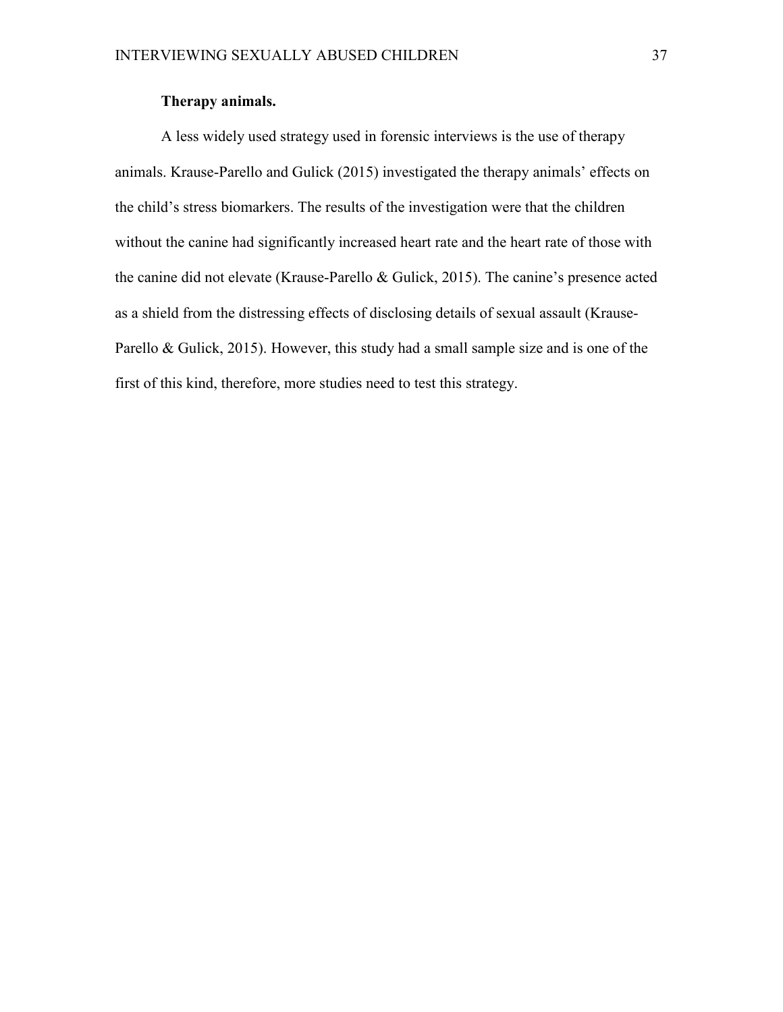# **Therapy animals.**

A less widely used strategy used in forensic interviews is the use of therapy animals. Krause-Parello and Gulick (2015) investigated the therapy animals' effects on the child's stress biomarkers. The results of the investigation were that the children without the canine had significantly increased heart rate and the heart rate of those with the canine did not elevate (Krause-Parello & Gulick, 2015). The canine's presence acted as a shield from the distressing effects of disclosing details of sexual assault (Krause-Parello & Gulick, 2015). However, this study had a small sample size and is one of the first of this kind, therefore, more studies need to test this strategy.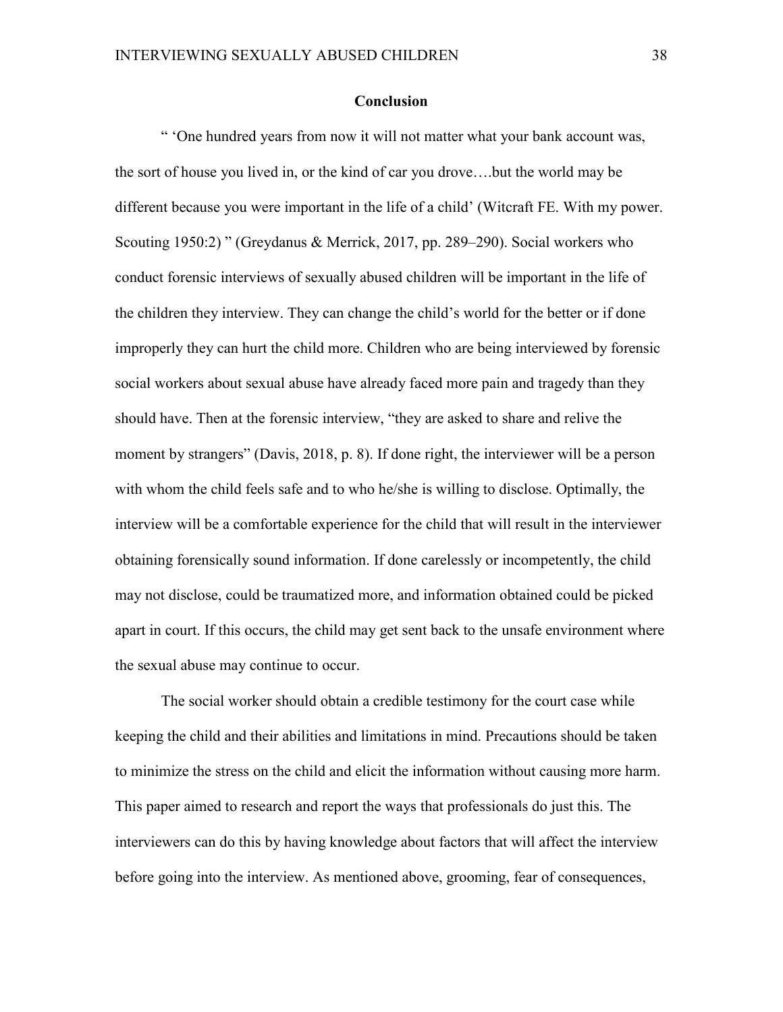#### **Conclusion**

" 'One hundred years from now it will not matter what your bank account was, the sort of house you lived in, or the kind of car you drove….but the world may be different because you were important in the life of a child' (Witcraft FE. With my power. Scouting 1950:2) " (Greydanus & Merrick, 2017, pp. 289–290). Social workers who conduct forensic interviews of sexually abused children will be important in the life of the children they interview. They can change the child's world for the better or if done improperly they can hurt the child more. Children who are being interviewed by forensic social workers about sexual abuse have already faced more pain and tragedy than they should have. Then at the forensic interview, "they are asked to share and relive the moment by strangers" (Davis, 2018, p. 8). If done right, the interviewer will be a person with whom the child feels safe and to who he/she is willing to disclose. Optimally, the interview will be a comfortable experience for the child that will result in the interviewer obtaining forensically sound information. If done carelessly or incompetently, the child may not disclose, could be traumatized more, and information obtained could be picked apart in court. If this occurs, the child may get sent back to the unsafe environment where the sexual abuse may continue to occur.

The social worker should obtain a credible testimony for the court case while keeping the child and their abilities and limitations in mind. Precautions should be taken to minimize the stress on the child and elicit the information without causing more harm. This paper aimed to research and report the ways that professionals do just this. The interviewers can do this by having knowledge about factors that will affect the interview before going into the interview. As mentioned above, grooming, fear of consequences,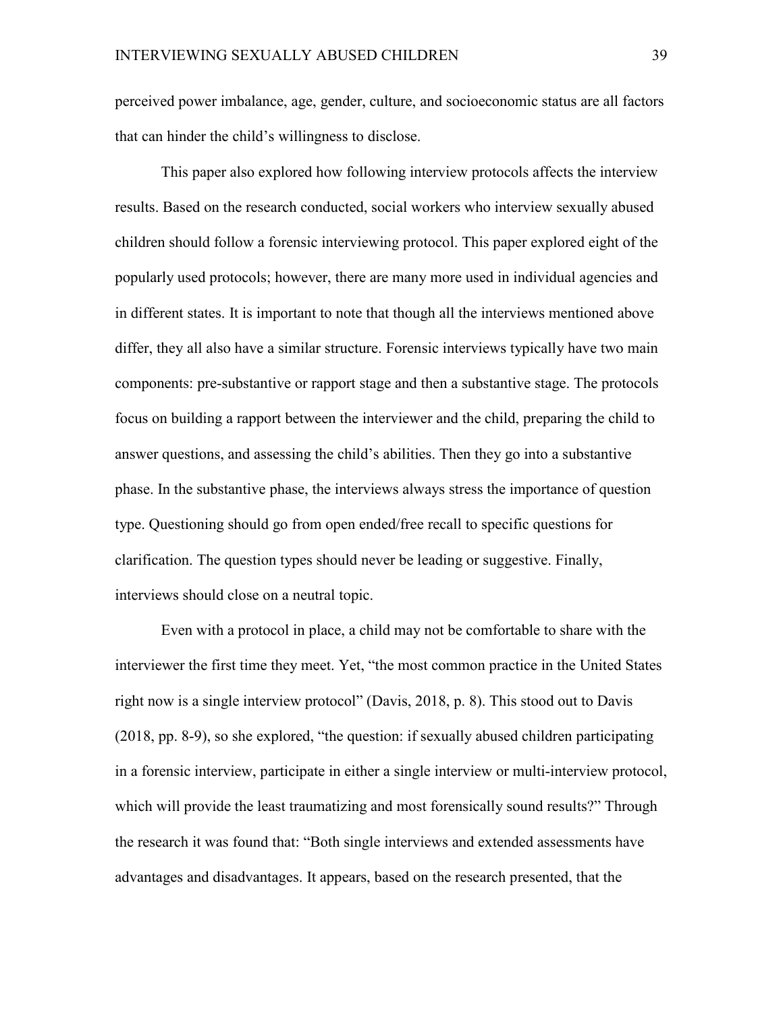perceived power imbalance, age, gender, culture, and socioeconomic status are all factors that can hinder the child's willingness to disclose.

This paper also explored how following interview protocols affects the interview results. Based on the research conducted, social workers who interview sexually abused children should follow a forensic interviewing protocol. This paper explored eight of the popularly used protocols; however, there are many more used in individual agencies and in different states. It is important to note that though all the interviews mentioned above differ, they all also have a similar structure. Forensic interviews typically have two main components: pre-substantive or rapport stage and then a substantive stage. The protocols focus on building a rapport between the interviewer and the child, preparing the child to answer questions, and assessing the child's abilities. Then they go into a substantive phase. In the substantive phase, the interviews always stress the importance of question type. Questioning should go from open ended/free recall to specific questions for clarification. The question types should never be leading or suggestive. Finally, interviews should close on a neutral topic.

Even with a protocol in place, a child may not be comfortable to share with the interviewer the first time they meet. Yet, "the most common practice in the United States right now is a single interview protocol" (Davis, 2018, p. 8). This stood out to Davis (2018, pp. 8-9), so she explored, "the question: if sexually abused children participating in a forensic interview, participate in either a single interview or multi-interview protocol, which will provide the least traumatizing and most forensically sound results?" Through the research it was found that: "Both single interviews and extended assessments have advantages and disadvantages. It appears, based on the research presented, that the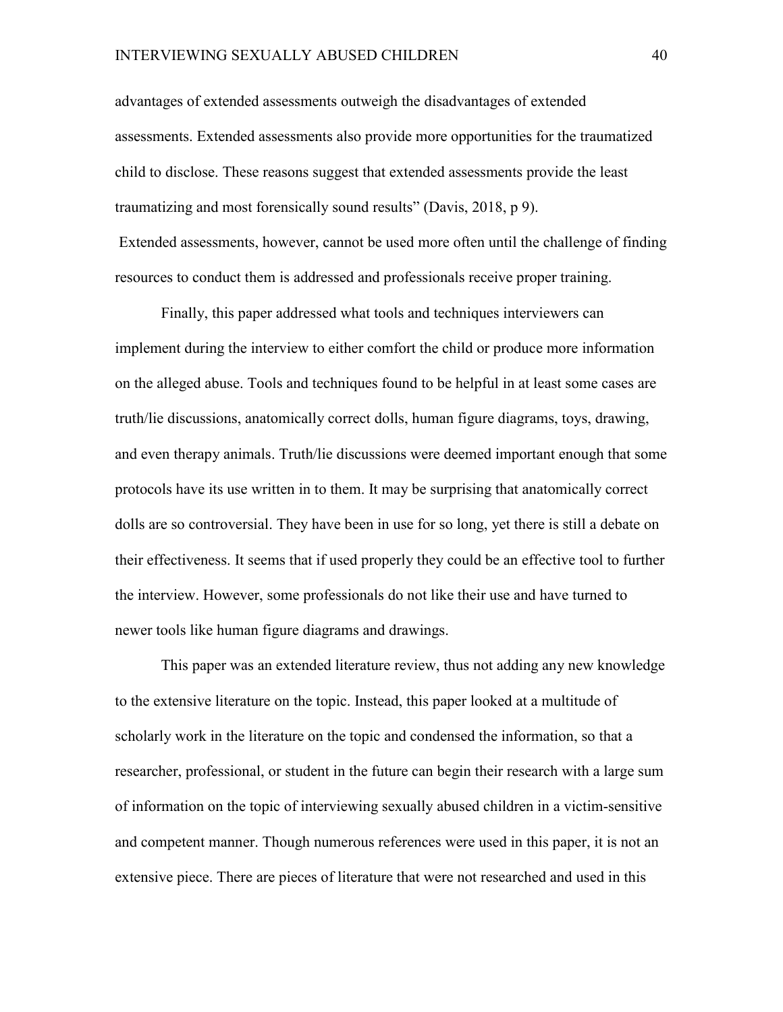advantages of extended assessments outweigh the disadvantages of extended assessments. Extended assessments also provide more opportunities for the traumatized child to disclose. These reasons suggest that extended assessments provide the least traumatizing and most forensically sound results" (Davis, 2018, p 9). Extended assessments, however, cannot be used more often until the challenge of finding resources to conduct them is addressed and professionals receive proper training.

Finally, this paper addressed what tools and techniques interviewers can implement during the interview to either comfort the child or produce more information on the alleged abuse. Tools and techniques found to be helpful in at least some cases are truth/lie discussions, anatomically correct dolls, human figure diagrams, toys, drawing, and even therapy animals. Truth/lie discussions were deemed important enough that some protocols have its use written in to them. It may be surprising that anatomically correct dolls are so controversial. They have been in use for so long, yet there is still a debate on their effectiveness. It seems that if used properly they could be an effective tool to further the interview. However, some professionals do not like their use and have turned to newer tools like human figure diagrams and drawings.

This paper was an extended literature review, thus not adding any new knowledge to the extensive literature on the topic. Instead, this paper looked at a multitude of scholarly work in the literature on the topic and condensed the information, so that a researcher, professional, or student in the future can begin their research with a large sum of information on the topic of interviewing sexually abused children in a victim-sensitive and competent manner. Though numerous references were used in this paper, it is not an extensive piece. There are pieces of literature that were not researched and used in this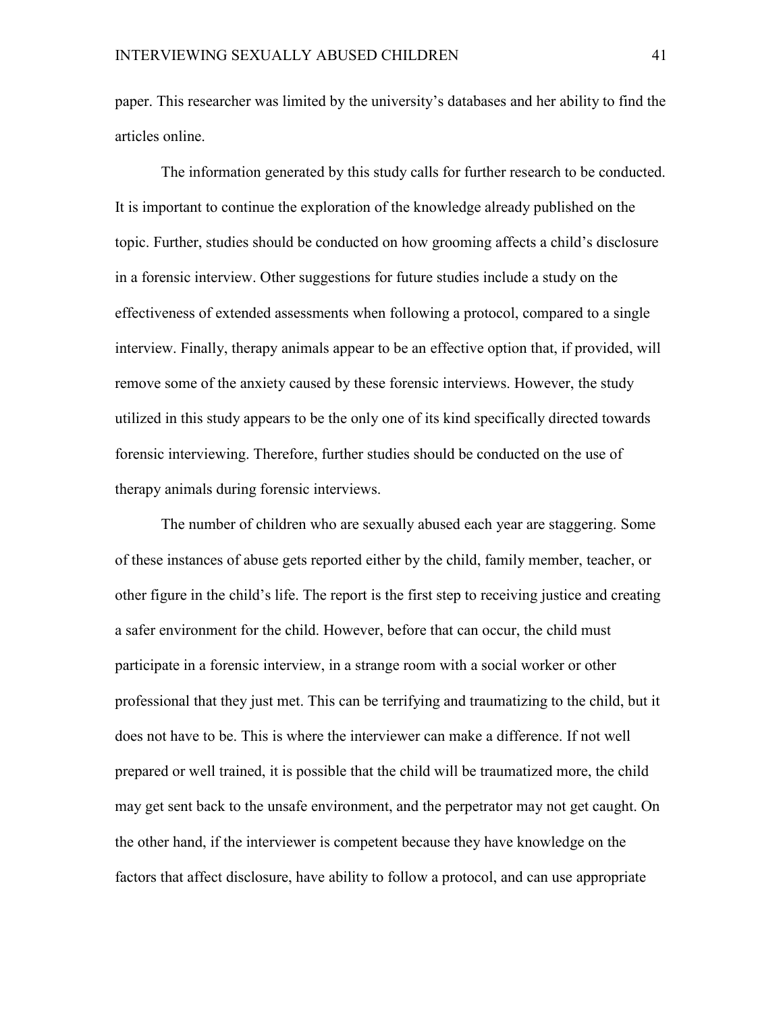paper. This researcher was limited by the university's databases and her ability to find the articles online.

The information generated by this study calls for further research to be conducted. It is important to continue the exploration of the knowledge already published on the topic. Further, studies should be conducted on how grooming affects a child's disclosure in a forensic interview. Other suggestions for future studies include a study on the effectiveness of extended assessments when following a protocol, compared to a single interview. Finally, therapy animals appear to be an effective option that, if provided, will remove some of the anxiety caused by these forensic interviews. However, the study utilized in this study appears to be the only one of its kind specifically directed towards forensic interviewing. Therefore, further studies should be conducted on the use of therapy animals during forensic interviews.

The number of children who are sexually abused each year are staggering. Some of these instances of abuse gets reported either by the child, family member, teacher, or other figure in the child's life. The report is the first step to receiving justice and creating a safer environment for the child. However, before that can occur, the child must participate in a forensic interview, in a strange room with a social worker or other professional that they just met. This can be terrifying and traumatizing to the child, but it does not have to be. This is where the interviewer can make a difference. If not well prepared or well trained, it is possible that the child will be traumatized more, the child may get sent back to the unsafe environment, and the perpetrator may not get caught. On the other hand, if the interviewer is competent because they have knowledge on the factors that affect disclosure, have ability to follow a protocol, and can use appropriate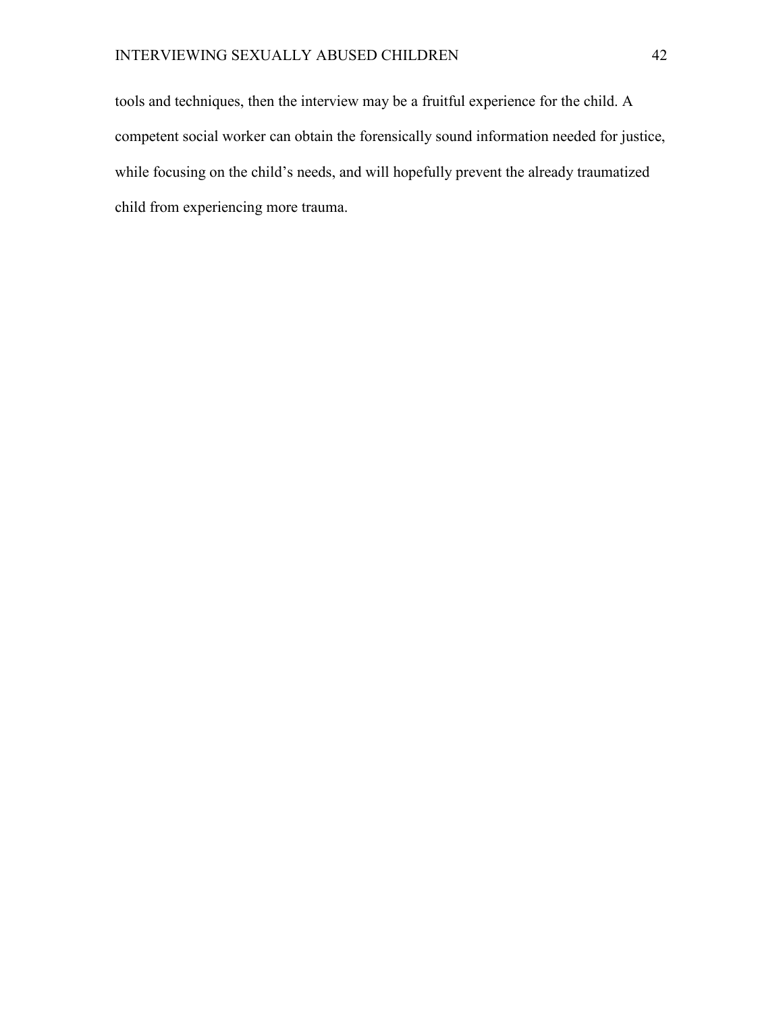tools and techniques, then the interview may be a fruitful experience for the child. A competent social worker can obtain the forensically sound information needed for justice, while focusing on the child's needs, and will hopefully prevent the already traumatized child from experiencing more trauma.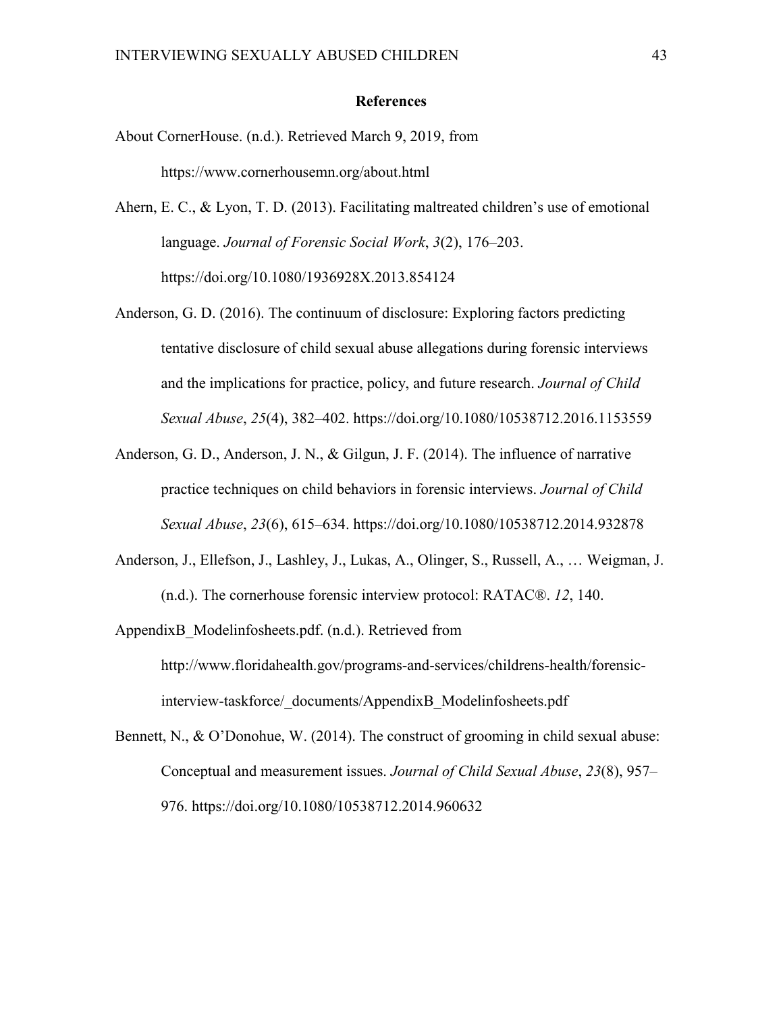#### **References**

- About CornerHouse. (n.d.). Retrieved March 9, 2019, from https://www.cornerhousemn.org/about.html
- Ahern, E. C., & Lyon, T. D. (2013). Facilitating maltreated children's use of emotional language. *Journal of Forensic Social Work*, *3*(2), 176–203. https://doi.org/10.1080/1936928X.2013.854124
- Anderson, G. D. (2016). The continuum of disclosure: Exploring factors predicting tentative disclosure of child sexual abuse allegations during forensic interviews and the implications for practice, policy, and future research. *Journal of Child Sexual Abuse*, *25*(4), 382–402. https://doi.org/10.1080/10538712.2016.1153559
- Anderson, G. D., Anderson, J. N., & Gilgun, J. F. (2014). The influence of narrative practice techniques on child behaviors in forensic interviews. *Journal of Child Sexual Abuse*, *23*(6), 615–634. https://doi.org/10.1080/10538712.2014.932878
- Anderson, J., Ellefson, J., Lashley, J., Lukas, A., Olinger, S., Russell, A., … Weigman, J. (n.d.). The cornerhouse forensic interview protocol: RATAC®. *12*, 140.
- AppendixB\_Modelinfosheets.pdf. (n.d.). Retrieved from http://www.floridahealth.gov/programs-and-services/childrens-health/forensicinterview-taskforce/\_documents/AppendixB\_Modelinfosheets.pdf
- Bennett, N., & O'Donohue, W. (2014). The construct of grooming in child sexual abuse: Conceptual and measurement issues. *Journal of Child Sexual Abuse*, *23*(8), 957– 976. https://doi.org/10.1080/10538712.2014.960632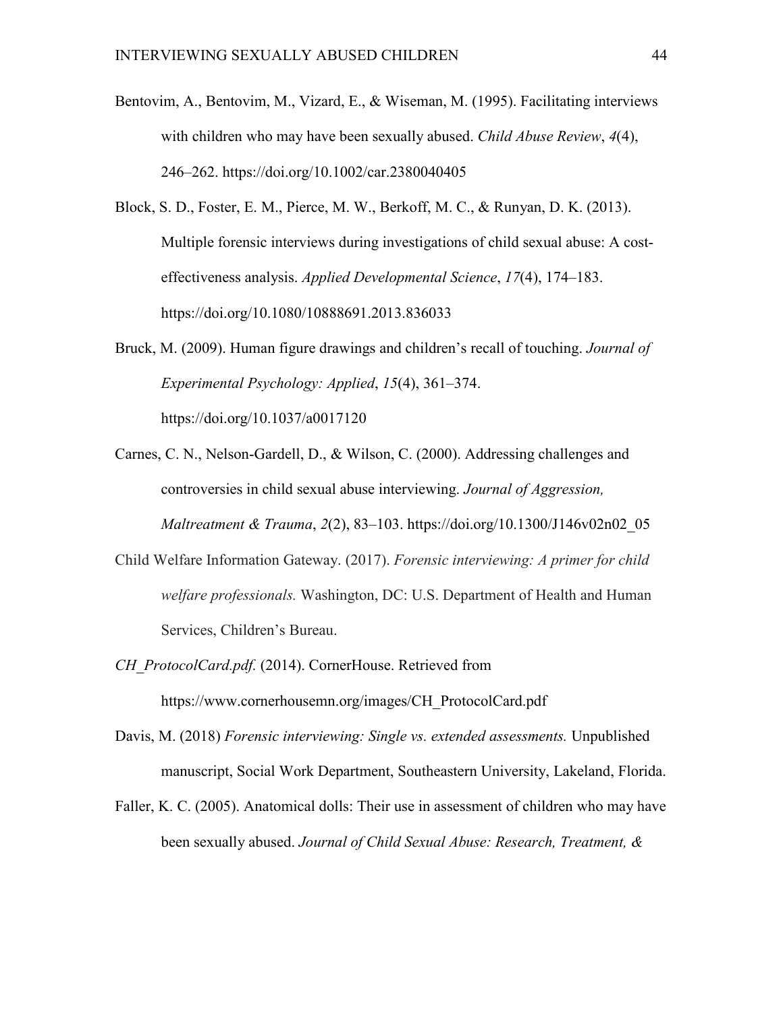- Bentovim, A., Bentovim, M., Vizard, E., & Wiseman, M. (1995). Facilitating interviews with children who may have been sexually abused. *Child Abuse Review*, *4*(4), 246–262. https://doi.org/10.1002/car.2380040405
- Block, S. D., Foster, E. M., Pierce, M. W., Berkoff, M. C., & Runyan, D. K. (2013). Multiple forensic interviews during investigations of child sexual abuse: A costeffectiveness analysis. *Applied Developmental Science*, *17*(4), 174–183. https://doi.org/10.1080/10888691.2013.836033
- Bruck, M. (2009). Human figure drawings and children's recall of touching. *Journal of Experimental Psychology: Applied*, *15*(4), 361–374.

https://doi.org/10.1037/a0017120

- Carnes, C. N., Nelson-Gardell, D., & Wilson, C. (2000). Addressing challenges and controversies in child sexual abuse interviewing. *Journal of Aggression, Maltreatment & Trauma*, *2*(2), 83–103. https://doi.org/10.1300/J146v02n02\_05
- Child Welfare Information Gateway. (2017). *Forensic interviewing: A primer for child welfare professionals.* Washington, DC: U.S. Department of Health and Human Services, Children's Bureau.
- *CH\_ProtocolCard.pdf.* (2014). CornerHouse. Retrieved from https://www.cornerhousemn.org/images/CH\_ProtocolCard.pdf
- Davis, M. (2018) *Forensic interviewing: Single vs. extended assessments.* Unpublished manuscript, Social Work Department, Southeastern University, Lakeland, Florida.
- Faller, K. C. (2005). Anatomical dolls: Their use in assessment of children who may have been sexually abused. *Journal of Child Sexual Abuse: Research, Treatment, &*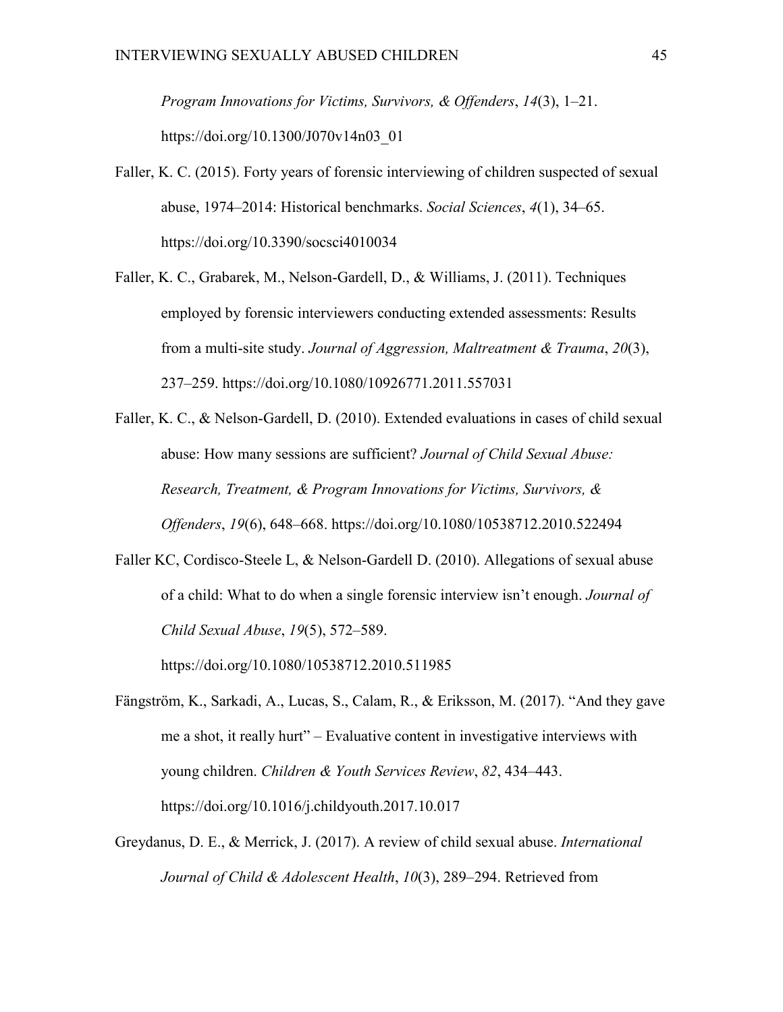*Program Innovations for Victims, Survivors, & Offenders*, *14*(3), 1–21. https://doi.org/10.1300/J070v14n03\_01

- Faller, K. C. (2015). Forty years of forensic interviewing of children suspected of sexual abuse, 1974–2014: Historical benchmarks. *Social Sciences*, *4*(1), 34–65. https://doi.org/10.3390/socsci4010034
- Faller, K. C., Grabarek, M., Nelson-Gardell, D., & Williams, J. (2011). Techniques employed by forensic interviewers conducting extended assessments: Results from a multi-site study. *Journal of Aggression, Maltreatment & Trauma*, *20*(3), 237–259. https://doi.org/10.1080/10926771.2011.557031

Faller, K. C., & Nelson-Gardell, D. (2010). Extended evaluations in cases of child sexual abuse: How many sessions are sufficient? *Journal of Child Sexual Abuse: Research, Treatment, & Program Innovations for Victims, Survivors, & Offenders*, *19*(6), 648–668. https://doi.org/10.1080/10538712.2010.522494

Faller KC, Cordisco-Steele L, & Nelson-Gardell D. (2010). Allegations of sexual abuse of a child: What to do when a single forensic interview isn't enough. *Journal of Child Sexual Abuse*, *19*(5), 572–589.

https://doi.org/10.1080/10538712.2010.511985

- Fängström, K., Sarkadi, A., Lucas, S., Calam, R., & Eriksson, M. (2017). "And they gave me a shot, it really hurt" – Evaluative content in investigative interviews with young children. *Children & Youth Services Review*, *82*, 434–443. https://doi.org/10.1016/j.childyouth.2017.10.017
- Greydanus, D. E., & Merrick, J. (2017). A review of child sexual abuse. *International Journal of Child & Adolescent Health*, *10*(3), 289–294. Retrieved from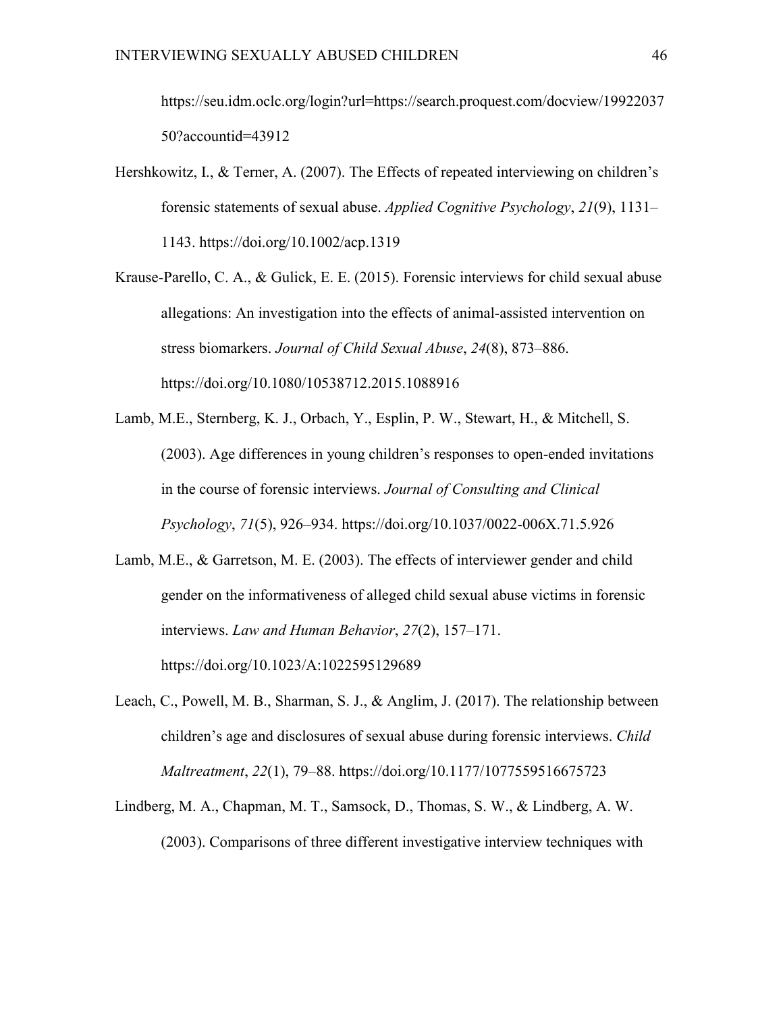https://seu.idm.oclc.org/login?url=https://search.proquest.com/docview/19922037 50?accountid=43912

- Hershkowitz, I., & Terner, A. (2007). The Effects of repeated interviewing on children's forensic statements of sexual abuse. *Applied Cognitive Psychology*, *21*(9), 1131– 1143. https://doi.org/10.1002/acp.1319
- Krause-Parello, C. A., & Gulick, E. E. (2015). Forensic interviews for child sexual abuse allegations: An investigation into the effects of animal-assisted intervention on stress biomarkers. *Journal of Child Sexual Abuse*, *24*(8), 873–886. https://doi.org/10.1080/10538712.2015.1088916
- Lamb, M.E., Sternberg, K. J., Orbach, Y., Esplin, P. W., Stewart, H., & Mitchell, S. (2003). Age differences in young children's responses to open-ended invitations in the course of forensic interviews. *Journal of Consulting and Clinical Psychology*, *71*(5), 926–934. https://doi.org/10.1037/0022-006X.71.5.926

Lamb, M.E., & Garretson, M. E. (2003). The effects of interviewer gender and child gender on the informativeness of alleged child sexual abuse victims in forensic interviews. *Law and Human Behavior*, *27*(2), 157–171. https://doi.org/10.1023/A:1022595129689

- Leach, C., Powell, M. B., Sharman, S. J., & Anglim, J. (2017). The relationship between children's age and disclosures of sexual abuse during forensic interviews. *Child Maltreatment*, *22*(1), 79–88. https://doi.org/10.1177/1077559516675723
- Lindberg, M. A., Chapman, M. T., Samsock, D., Thomas, S. W., & Lindberg, A. W. (2003). Comparisons of three different investigative interview techniques with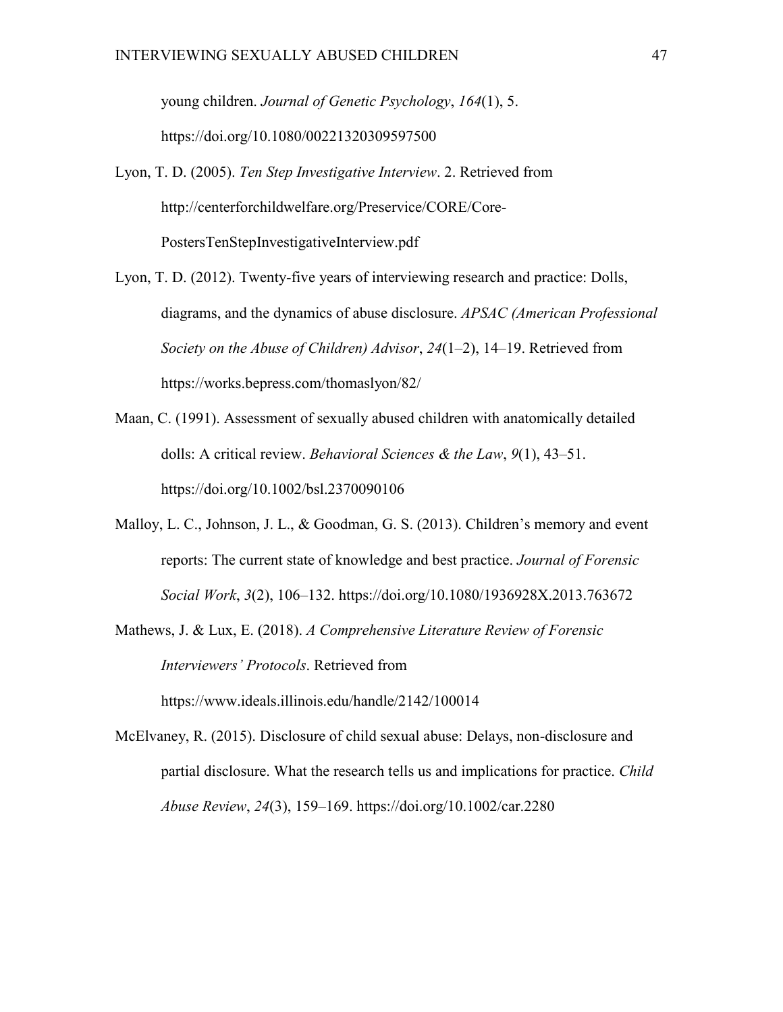young children. *Journal of Genetic Psychology*, *164*(1), 5. https://doi.org/10.1080/00221320309597500

- Lyon, T. D. (2005). *Ten Step Investigative Interview*. 2. Retrieved from http://centerforchildwelfare.org/Preservice/CORE/Core-PostersTenStepInvestigativeInterview.pdf
- Lyon, T. D. (2012). Twenty-five years of interviewing research and practice: Dolls, diagrams, and the dynamics of abuse disclosure. *APSAC (American Professional Society on the Abuse of Children) Advisor*, *24*(1–2), 14–19. Retrieved from https://works.bepress.com/thomaslyon/82/
- Maan, C. (1991). Assessment of sexually abused children with anatomically detailed dolls: A critical review. *Behavioral Sciences & the Law*, *9*(1), 43–51. https://doi.org/10.1002/bsl.2370090106
- Malloy, L. C., Johnson, J. L., & Goodman, G. S. (2013). Children's memory and event reports: The current state of knowledge and best practice. *Journal of Forensic Social Work*, *3*(2), 106–132. https://doi.org/10.1080/1936928X.2013.763672
- Mathews, J. & Lux, E. (2018). *A Comprehensive Literature Review of Forensic Interviewers' Protocols*. Retrieved from https://www.ideals.illinois.edu/handle/2142/100014
- McElvaney, R. (2015). Disclosure of child sexual abuse: Delays, non-disclosure and partial disclosure. What the research tells us and implications for practice. *Child Abuse Review*, *24*(3), 159–169. https://doi.org/10.1002/car.2280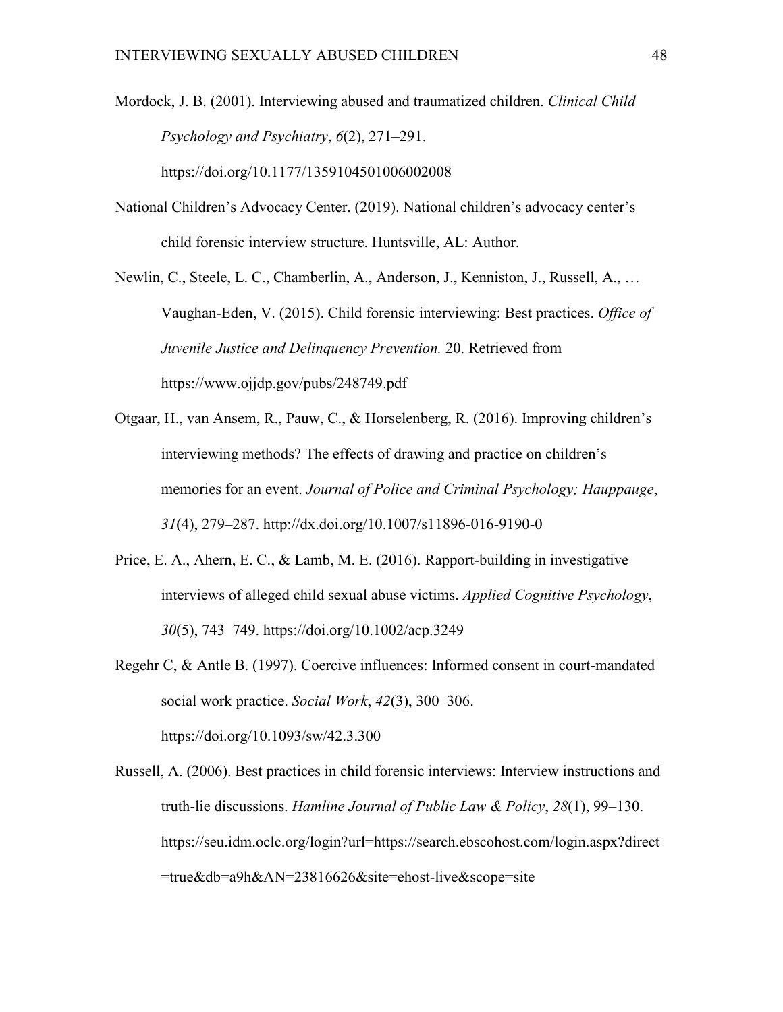Mordock, J. B. (2001). Interviewing abused and traumatized children. *Clinical Child Psychology and Psychiatry*, *6*(2), 271–291. https://doi.org/10.1177/1359104501006002008

National Children's Advocacy Center. (2019). National children's advocacy center's child forensic interview structure. Huntsville, AL: Author.

Newlin, C., Steele, L. C., Chamberlin, A., Anderson, J., Kenniston, J., Russell, A., … Vaughan-Eden, V. (2015). Child forensic interviewing: Best practices. *Office of Juvenile Justice and Delinquency Prevention.* 20. Retrieved from https://www.ojjdp.gov/pubs/248749.pdf

- Otgaar, H., van Ansem, R., Pauw, C., & Horselenberg, R. (2016). Improving children's interviewing methods? The effects of drawing and practice on children's memories for an event. *Journal of Police and Criminal Psychology; Hauppauge*, *31*(4), 279–287. http://dx.doi.org/10.1007/s11896-016-9190-0
- Price, E. A., Ahern, E. C., & Lamb, M. E. (2016). Rapport-building in investigative interviews of alleged child sexual abuse victims. *Applied Cognitive Psychology*, *30*(5), 743–749. https://doi.org/10.1002/acp.3249
- Regehr C, & Antle B. (1997). Coercive influences: Informed consent in court-mandated social work practice. *Social Work*, *42*(3), 300–306. <https://doi.org/10.1093/sw/42.3.300>

Russell, A. (2006). Best practices in child forensic interviews: Interview instructions and truth-lie discussions. *Hamline Journal of Public Law & Policy*, *28*(1), 99–130. https://seu.idm.oclc.org/login?url=https://search.ebscohost.com/login.aspx?direct =true&db=a9h&AN=23816626&site=ehost-live&scope=site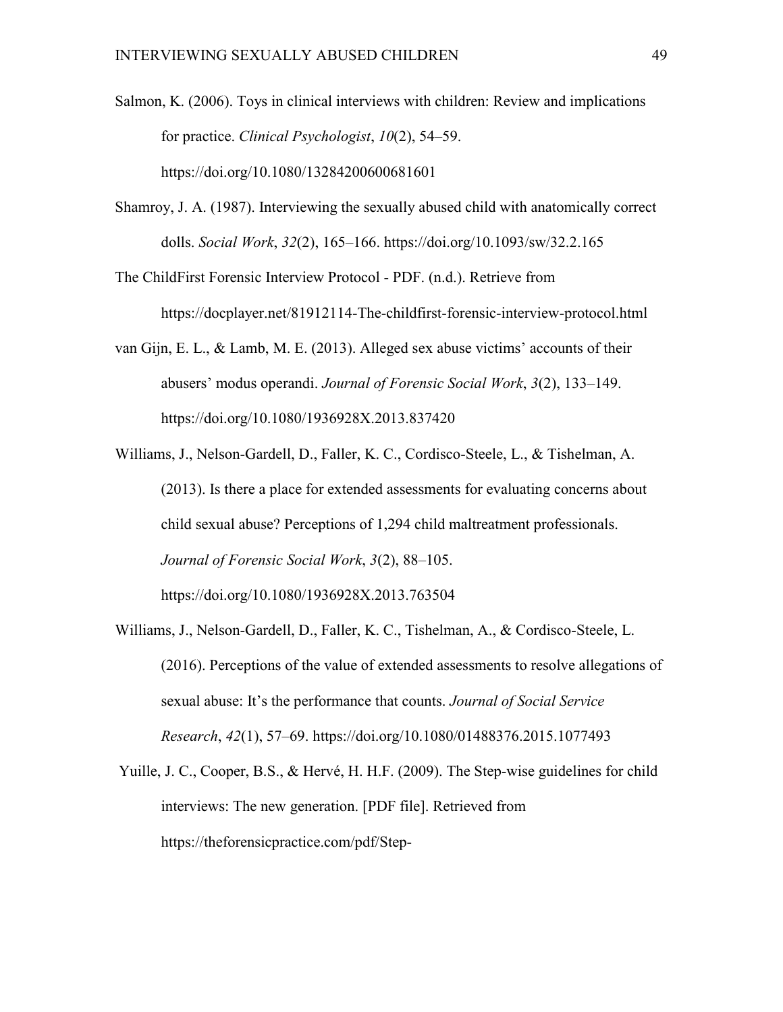Salmon, K. (2006). Toys in clinical interviews with children: Review and implications for practice. *Clinical Psychologist*, *10*(2), 54–59. https://doi.org/10.1080/13284200600681601

Shamroy, J. A. (1987). Interviewing the sexually abused child with anatomically correct dolls. *Social Work*, *32*(2), 165–166. https://doi.org/10.1093/sw/32.2.165

The ChildFirst Forensic Interview Protocol - PDF. (n.d.). Retrieve from https://docplayer.net/81912114-The-childfirst-forensic-interview-protocol.html

- van Gijn, E. L., & Lamb, M. E. (2013). Alleged sex abuse victims' accounts of their abusers' modus operandi. *Journal of Forensic Social Work*, *3*(2), 133–149. https://doi.org/10.1080/1936928X.2013.837420
- Williams, J., Nelson-Gardell, D., Faller, K. C., Cordisco-Steele, L., & Tishelman, A. (2013). Is there a place for extended assessments for evaluating concerns about child sexual abuse? Perceptions of 1,294 child maltreatment professionals. *Journal of Forensic Social Work*, *3*(2), 88–105. https://doi.org/10.1080/1936928X.2013.763504
- Williams, J., Nelson-Gardell, D., Faller, K. C., Tishelman, A., & Cordisco-Steele, L. (2016). Perceptions of the value of extended assessments to resolve allegations of sexual abuse: It's the performance that counts. *Journal of Social Service Research*, *42*(1), 57–69. https://doi.org/10.1080/01488376.2015.1077493
- Yuille, J. C., Cooper, B.S., & Hervé, H. H.F. (2009). The Step-wise guidelines for child interviews: The new generation. [PDF file]. Retrieved from https://theforensicpractice.com/pdf/Step-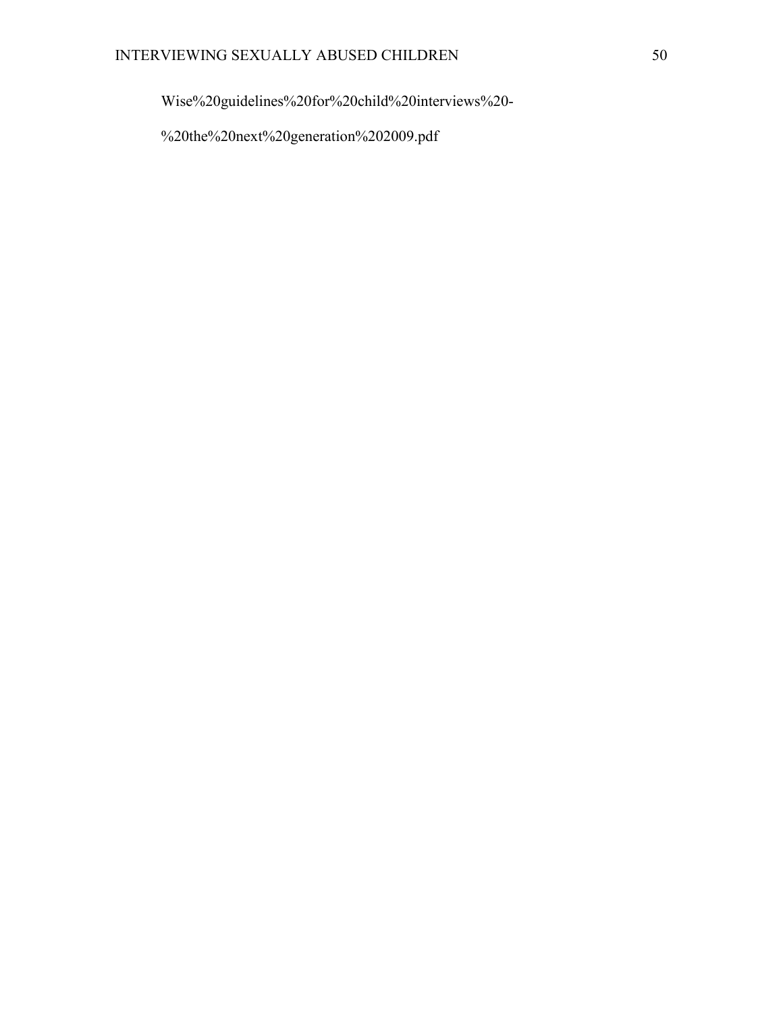Wise%20guidelines%20for%20child%20interviews%20-

%20the%20next%20generation%202009.pdf